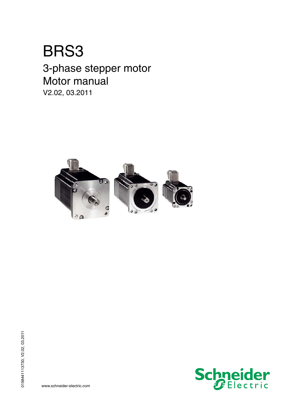# BRS3

## 3-phase stepper motor Motor manual

V2.02, 03.2011



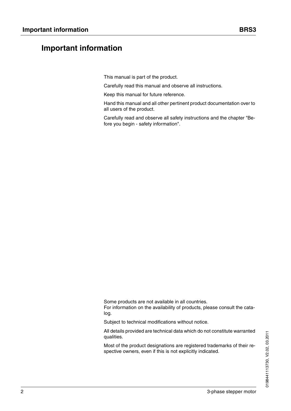### <span id="page-1-0"></span>**Important information**

This manual is part of the product.

Carefully read this manual and observe all instructions.

Keep this manual for future reference.

Hand this manual and all other pertinent product documentation over to all users of the product.

Carefully read and observe all safety instructions and the chapter "Before you begin - safety information".

Some products are not available in all countries. For information on the availability of products, please consult the catalog.

Subject to technical modifications without notice.

All details provided are technical data which do not constitute warranted qualities.

Most of the product designations are registered trademarks of their respective owners, even if this is not explicitly indicated.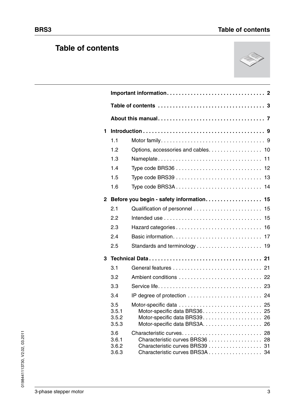## <span id="page-2-0"></span>**Table of contents**



| 1                       |                                |                                                                                                    |    |
|-------------------------|--------------------------------|----------------------------------------------------------------------------------------------------|----|
|                         | 1.1                            |                                                                                                    |    |
|                         | 1.2                            | Options, accessories and cables. 10                                                                |    |
|                         | 1.3                            |                                                                                                    |    |
|                         | 1.4                            |                                                                                                    |    |
|                         | 1.5                            |                                                                                                    |    |
|                         | 1.6                            | Type code BRS3A 14                                                                                 |    |
| $\overline{\mathbf{2}}$ |                                | Before you begin - safety information 15                                                           |    |
|                         | 2.1                            |                                                                                                    |    |
|                         | 2.2                            |                                                                                                    |    |
|                         | 2.3                            |                                                                                                    |    |
|                         | 2.4                            |                                                                                                    |    |
|                         | 2.5                            |                                                                                                    |    |
| 3                       |                                |                                                                                                    |    |
|                         | 3.1                            |                                                                                                    |    |
|                         | 3.2                            |                                                                                                    |    |
|                         | 3.3                            |                                                                                                    |    |
|                         | 3.4                            |                                                                                                    |    |
|                         | 3.5<br>3.5.1<br>3.5.2<br>3.5.3 | Motor-specific data<br>Motor-specific data BRS36 25                                                | 25 |
|                         | 3.6<br>3.6.1<br>3.6.2<br>3.6.3 | Characteristic curves BRS36 28<br>Characteristic curves BRS39 31<br>Characteristic curves BRS3A 34 | 28 |

0198441113730, V2.02, 03.2011

0198441113730, V2.02, 03.2011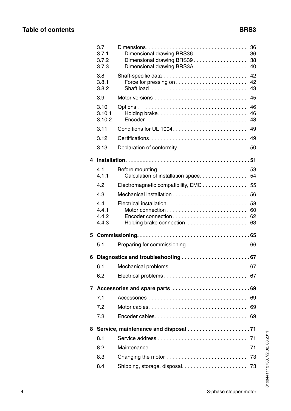|                | 3.7<br>3.7.1<br>3.7.2<br>3.7.3 | Dimensional drawing BRS36<br>Dimensional drawing BRS39.<br>Dimensional drawing BRS3A | 36<br>36<br>38<br>40 |
|----------------|--------------------------------|--------------------------------------------------------------------------------------|----------------------|
|                | 3.8<br>3.8.1<br>3.8.2          | Shaft-specific data                                                                  | 42<br>42<br>43       |
|                | 3.9                            |                                                                                      | 45                   |
|                | 3.10<br>3.10.1<br>3.10.2       | Holding brake                                                                        | 46<br>46<br>48       |
|                | 3.11                           |                                                                                      | 49                   |
|                | 3.12                           |                                                                                      | 49                   |
|                | 3.13                           | Declaration of conformity                                                            | 50                   |
| 4              |                                |                                                                                      |                      |
|                | 4.1<br>4.1.1                   | Calculation of installation space.                                                   | 53<br>54             |
|                | 4.2                            | Electromagnetic compatibility, EMC                                                   | 55                   |
|                | 4.3                            |                                                                                      | 56                   |
|                | 4.4<br>4.4.1<br>4.4.2<br>4.4.3 | Electrical installation<br>Holding brake connection                                  | 58<br>60<br>62<br>63 |
| 5              |                                |                                                                                      |                      |
|                | 5.1                            | Preparing for commissioning  66                                                      |                      |
| 6              |                                |                                                                                      |                      |
|                | 6.1                            |                                                                                      | 67                   |
|                | 6.2                            |                                                                                      | 67                   |
| $\overline{7}$ |                                |                                                                                      |                      |
|                | 7.1                            |                                                                                      | 69                   |
|                | 7.2                            | Motor cables                                                                         | 69                   |
|                | 7.3                            | Encoder cables                                                                       | 69                   |
| 8              |                                |                                                                                      |                      |
|                | 8.1                            |                                                                                      | -71                  |
|                | 8.2                            | Maintenance                                                                          | 71                   |
|                | 8.3                            | Changing the motor                                                                   | 73                   |
|                | 8.4                            | Shipping, storage, disposal                                                          | 73                   |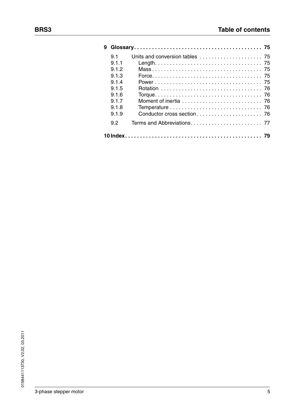| 9 |       |  |
|---|-------|--|
|   | 9.1   |  |
|   | 9.1.1 |  |
|   | 9.1.2 |  |
|   | 9.1.3 |  |
|   | 9.1.4 |  |
|   | 9.1.5 |  |
|   | 9.1.6 |  |
|   | 9.1.7 |  |
|   | 9.1.8 |  |
|   | 9.1.9 |  |
|   | 9.2   |  |
|   |       |  |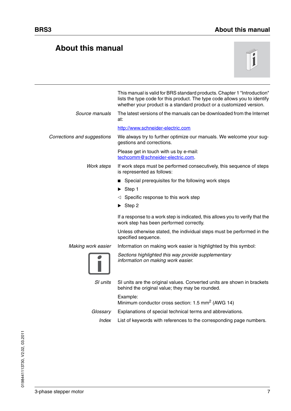### <span id="page-6-0"></span>**About this manual**



|                             | This manual is valid for BRS standard products. Chapter 1 "Introduction"<br>lists the type code for this product. The type code allows you to identify<br>whether your product is a standard product or a customized version. |
|-----------------------------|-------------------------------------------------------------------------------------------------------------------------------------------------------------------------------------------------------------------------------|
| Source manuals              | The latest versions of the manuals can be downloaded from the Internet<br>at:                                                                                                                                                 |
|                             | http://www.schneider-electric.com                                                                                                                                                                                             |
| Corrections and suggestions | We always try to further optimize our manuals. We welcome your sug-<br>gestions and corrections.                                                                                                                              |
|                             | Please get in touch with us by e-mail:<br>techcomm@schneider-electric.com.                                                                                                                                                    |
| Work steps                  | If work steps must be performed consecutively, this sequence of steps<br>is represented as follows:                                                                                                                           |
|                             | Special prerequisites for the following work steps                                                                                                                                                                            |
|                             | Step 1                                                                                                                                                                                                                        |
|                             | $\triangleleft$ Specific response to this work step                                                                                                                                                                           |
|                             | $\triangleright$ Step 2                                                                                                                                                                                                       |
|                             | If a response to a work step is indicated, this allows you to verify that the<br>work step has been performed correctly.                                                                                                      |
|                             | Unless otherwise stated, the individual steps must be performed in the<br>specified sequence.                                                                                                                                 |
| Making work easier          | Information on making work easier is highlighted by this symbol:                                                                                                                                                              |
|                             | Sections highlighted this way provide supplementary<br>information on making work easier.                                                                                                                                     |
| SI units                    | SI units are the original values. Converted units are shown in brackets<br>behind the original value; they may be rounded.                                                                                                    |
|                             | Example:<br>Minimum conductor cross section: 1.5 mm <sup>2</sup> (AWG 14)                                                                                                                                                     |
| Glossary                    | Explanations of special technical terms and abbreviations.                                                                                                                                                                    |
| Index                       | List of keywords with references to the corresponding page numbers.                                                                                                                                                           |
|                             |                                                                                                                                                                                                                               |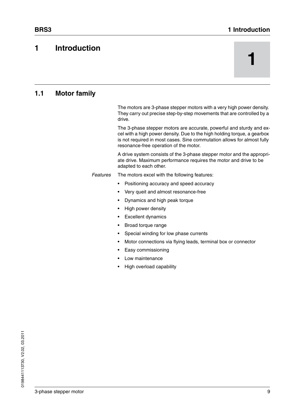### **BRS3** 1 Introduction

### <span id="page-8-2"></span><span id="page-8-0"></span>**1 Introduction**

# **1**

### <span id="page-8-1"></span>**1.1 Motor family**

The motors are 3-phase stepper motors with a very high power density. They carry out precise step-by-step movements that are controlled by a drive.

The 3-phase stepper motors are accurate, powerful and sturdy and excel with a high power density. Due to the high holding torque, a gearbox is not required in most cases. Sine commutation allows for almost fully resonance-free operation of the motor.

A drive system consists of the 3-phase stepper motor and the appropriate drive. Maximum performance requires the motor and drive to be adapted to each other.

*Features* The motors excel with the following features:

- Positioning accuracy and speed accuracy
- Very queit and almost resonance-free
- Dynamics and high peak torque
- High power density
- Excellent dynamics
- Broad torque range
- Special winding for low phase currents
- Motor connections via flying leads, terminal box or connector
- Easy commissioning
- Low maintenance
- High overload capability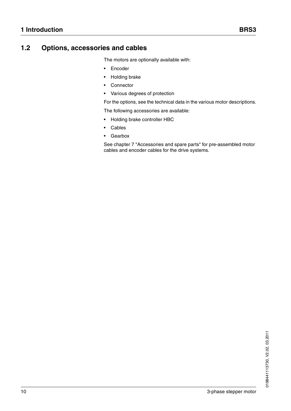### <span id="page-9-0"></span>**1.2 Options, accessories and cables**

The motors are optionally available with:

- Encoder
- Holding brake
- Connector
- Various degrees of protection

For the options, see the technical data in the various motor descriptions.

The following accessories are available:

- Holding brake controller HBC
- **Cables**
- Gearbox

See chapter [7 "Accessories and spare parts"](#page-68-4) for pre-assembled motor cables and encoder cables for the drive systems.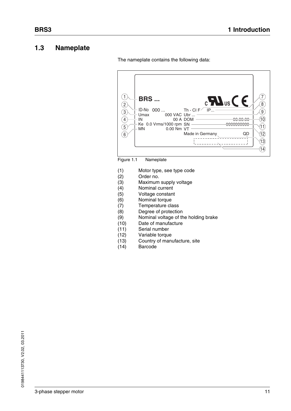### <span id="page-10-0"></span>**1.3 Nameplate**

7  $(1)$  $c$ **H**<sub>us</sub> $C \in$ **BRS ...** 8  $\binom{2}{2}$ ID-No 000 ...  $IP...$ Th - CI  $F^{\diagup}$ 9  $\sqrt{3}$ Umax 000 VAC Ubr ...  $\widehat{10}$  $\sqrt{4}$ 00 A DOM IN 00.00.00 000000000 Ke 0.0 Vrms/1000 rpm SN  $\textcircled{\textsf{1}}$  $(5)$ MN 0.00 Nm VT 12Made in Germany QD  $(6)$  $(13)$ الی \_ i.  $\widehat{14}$ 

The nameplate contains the following data:

Figure 1.1 Nameplate

- (1) Motor type, see type code
- (2) Order no.
- (3) Maximum supply voltage
- (4) Nominal current
- (5) Voltage constant
- (6) Nominal torque
- (7) Temperature class
- (8) Degree of protection
- (9) Nominal voltage of the holding brake
- (10) Date of manufacture
- (11) Serial number
- (12) Variable torque
- (13) Country of manufacture, site
- (14) Barcode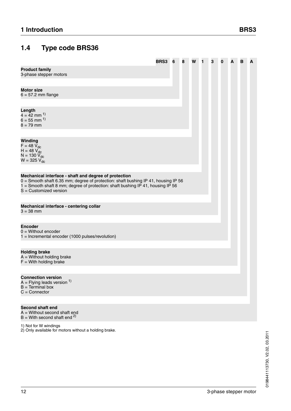### <span id="page-11-0"></span>**1.4 Type code BRS36**

<span id="page-11-1"></span>

|                                                                                                                                                                                                                                                            | BRS3 | 6 | 8 | W | 1 | 3 | 0 | А | в | A |
|------------------------------------------------------------------------------------------------------------------------------------------------------------------------------------------------------------------------------------------------------------|------|---|---|---|---|---|---|---|---|---|
| <b>Product family</b><br>3-phase stepper motors                                                                                                                                                                                                            |      |   |   |   |   |   |   |   |   |   |
| <b>Motor size</b><br>$6 = 57.2$ mm flange                                                                                                                                                                                                                  |      |   |   |   |   |   |   |   |   |   |
|                                                                                                                                                                                                                                                            |      |   |   |   |   |   |   |   |   |   |
| Length<br>$4 = 42$ mm <sup>1)</sup><br>$6 = 55$ mm $^{1}$<br>$8 = 79$ mm                                                                                                                                                                                   |      |   |   |   |   |   |   |   |   |   |
|                                                                                                                                                                                                                                                            |      |   |   |   |   |   |   |   |   |   |
| Winding<br>$F = 48 V_{dc}$<br>$H = 48 V_{dc}$<br>$N = 130 V_{dc}$<br>$W = 325 V_{dc}$                                                                                                                                                                      |      |   |   |   |   |   |   |   |   |   |
|                                                                                                                                                                                                                                                            |      |   |   |   |   |   |   |   |   |   |
| Mechanical interface - shaft and degree of protection<br>0 = Smooth shaft 6.35 mm; degree of protection: shaft bushing IP 41, housing IP 56<br>1 = Smooth shaft 8 mm; degree of protection: shaft bushing IP 41, housing IP 56<br>$S =$ Customized version |      |   |   |   |   |   |   |   |   |   |
| Mechanical interface - centering collar<br>$3 = 38$ mm                                                                                                                                                                                                     |      |   |   |   |   |   |   |   |   |   |
| <b>Encoder</b><br>$0 =$ Without encoder<br>1 = Incremental encoder (1000 pulses/revolution)                                                                                                                                                                |      |   |   |   |   |   |   |   |   |   |
|                                                                                                                                                                                                                                                            |      |   |   |   |   |   |   |   |   |   |
| <b>Holding brake</b><br>$A =$ Without holding brake<br>$F =$ With holding brake                                                                                                                                                                            |      |   |   |   |   |   |   |   |   |   |
|                                                                                                                                                                                                                                                            |      |   |   |   |   |   |   |   |   |   |
| <b>Connection version</b><br>$A = Flying$ leads version $1$ )<br>$B = Terminal box$<br>$C =$ Connector                                                                                                                                                     |      |   |   |   |   |   |   |   |   |   |
|                                                                                                                                                                                                                                                            |      |   |   |   |   |   |   |   |   |   |
| <b>Second shaft end</b><br>$A =$ Without second shaft end<br>$B =$ With second shaft end <sup>2)</sup>                                                                                                                                                     |      |   |   |   |   |   |   |   |   |   |

0198441113730, V2.02, 03.2011 0198441113730, V2.02, 03.2011

1) Not for W windings

2) Only available for motors without a holding brake.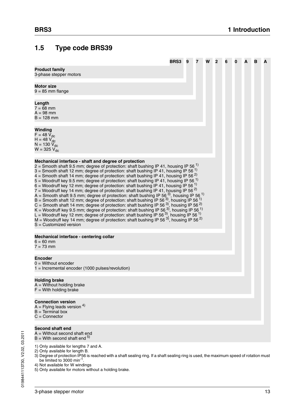### <span id="page-12-0"></span>**1.5 Type code BRS39**

<span id="page-12-1"></span>

|                                                                                                                                                                                                                                                                                                                                                                                                                                                                                                                                                                                                                                                                                                                                                                                                                                                                                                                                                                                                                                                                                                                                                                                                                                                                                                                                                                            | <b>BRS3</b> | - 9 | 7 | W | $\mathbf{2}$ | 6 | 0 | A | в | А |
|----------------------------------------------------------------------------------------------------------------------------------------------------------------------------------------------------------------------------------------------------------------------------------------------------------------------------------------------------------------------------------------------------------------------------------------------------------------------------------------------------------------------------------------------------------------------------------------------------------------------------------------------------------------------------------------------------------------------------------------------------------------------------------------------------------------------------------------------------------------------------------------------------------------------------------------------------------------------------------------------------------------------------------------------------------------------------------------------------------------------------------------------------------------------------------------------------------------------------------------------------------------------------------------------------------------------------------------------------------------------------|-------------|-----|---|---|--------------|---|---|---|---|---|
| <b>Product family</b><br>3-phase stepper motors                                                                                                                                                                                                                                                                                                                                                                                                                                                                                                                                                                                                                                                                                                                                                                                                                                                                                                                                                                                                                                                                                                                                                                                                                                                                                                                            |             |     |   |   |              |   |   |   |   |   |
| <b>Motor size</b><br>$9 = 85$ mm flange                                                                                                                                                                                                                                                                                                                                                                                                                                                                                                                                                                                                                                                                                                                                                                                                                                                                                                                                                                                                                                                                                                                                                                                                                                                                                                                                    |             |     |   |   |              |   |   |   |   |   |
| Length<br>$7 = 68$ mm<br>$A = 98$ mm<br>$B = 128$ mm                                                                                                                                                                                                                                                                                                                                                                                                                                                                                                                                                                                                                                                                                                                                                                                                                                                                                                                                                                                                                                                                                                                                                                                                                                                                                                                       |             |     |   |   |              |   |   |   |   |   |
| Winding<br>$F = 48 V_{dc}$<br>$H = 48 V_{dc}$<br>$N = 130 V_{dc}$<br>$W = 325 V_{dc}$                                                                                                                                                                                                                                                                                                                                                                                                                                                                                                                                                                                                                                                                                                                                                                                                                                                                                                                                                                                                                                                                                                                                                                                                                                                                                      |             |     |   |   |              |   |   |   |   |   |
| Mechanical interface - shaft and degree of protection<br>2 = Smooth shaft 9.5 mm; degree of protection: shaft bushing IP 41, housing IP 56 <sup>1)</sup><br>3 = Smooth shaft 12 mm; degree of protection: shaft bushing IP 41, housing IP 56 <sup>1)</sup><br>4 = Smooth shaft 14 mm; degree of protection: shaft bushing IP 41, housing IP 56 <sup>2)</sup><br>5 = Woodruff key 9.5 mm; degree of protection: shaft bushing IP 41, housing IP 56 <sup>1)</sup><br>6 = Woodruff key 12 mm; degree of protection: shaft bushing IP 41, housing IP 56 <sup>1)</sup><br>7 = Woodruff key 14 mm; degree of protection: shaft bushing IP 41, housing IP 56 <sup>2)</sup><br>A = Smooth shaft 9.5 mm; degree of protection: shaft bushing IP 56 <sup>3</sup> , housing IP 56 <sup>1</sup><br>$B =$ Smooth shaft 12 mm; degree of protection: shaft bushing IP 56 <sup>3</sup> , housing IP 56 <sup>1</sup><br>C = Smooth shaft 14 mm; degree of protection: shaft bushing IP 56 <sup>3)</sup> , housing IP 56 <sup>2)</sup><br>K = Woodruff key 9.5 mm; degree of protection: shaft bushing IP 56 $^{3}$ , housing IP 56 $^{1}$<br>L = Woodruff key 12 mm; degree of protection: shaft bushing IP 56 <sup>3</sup> , housing IP 56 <sup>1)</sup><br>M = Woodruff key 14 mm; degree of protection: shaft bushing IP 56 $^{3}$ , housing IP 56 $^{2}$ )<br>$S =$ Customized version |             |     |   |   |              |   |   |   |   |   |
| Mechanical interface - centering collar<br>$6 = 60$ mm<br>$7 = 73$ mm                                                                                                                                                                                                                                                                                                                                                                                                                                                                                                                                                                                                                                                                                                                                                                                                                                                                                                                                                                                                                                                                                                                                                                                                                                                                                                      |             |     |   |   |              |   |   |   |   |   |
| <b>Encoder</b><br>$0 =$ Without encoder<br>$1 =$ Incremental encoder (1000 pulses/revolution)                                                                                                                                                                                                                                                                                                                                                                                                                                                                                                                                                                                                                                                                                                                                                                                                                                                                                                                                                                                                                                                                                                                                                                                                                                                                              |             |     |   |   |              |   |   |   |   |   |
| <b>Holding brake</b><br>$A =$ Without holding brake<br>$F =$ With holding brake                                                                                                                                                                                                                                                                                                                                                                                                                                                                                                                                                                                                                                                                                                                                                                                                                                                                                                                                                                                                                                                                                                                                                                                                                                                                                            |             |     |   |   |              |   |   |   |   |   |
| <b>Connection version</b><br>$A =$ Flying leads version $4$ )<br>$B = Terminal box$<br>$C =$ Connector                                                                                                                                                                                                                                                                                                                                                                                                                                                                                                                                                                                                                                                                                                                                                                                                                                                                                                                                                                                                                                                                                                                                                                                                                                                                     |             |     |   |   |              |   |   |   |   |   |
| <b>Second shaft end</b><br>A = Without second shaft end<br>$B =$ With second shaft end $5$ )                                                                                                                                                                                                                                                                                                                                                                                                                                                                                                                                                                                                                                                                                                                                                                                                                                                                                                                                                                                                                                                                                                                                                                                                                                                                               |             |     |   |   |              |   |   |   |   |   |
| 1) Only available for lengths 7 and A.<br>2) Only available for length B.<br>3) Degree of protection IP56 is reached with a shaft sealing ring. If a shaft sealing ring is used, the maximum speed of rotation must<br>be limited to 3000 min <sup>-1</sup> .<br>4) Not available for W windings                                                                                                                                                                                                                                                                                                                                                                                                                                                                                                                                                                                                                                                                                                                                                                                                                                                                                                                                                                                                                                                                           |             |     |   |   |              |   |   |   |   |   |

5) Only available for motors without a holding brake.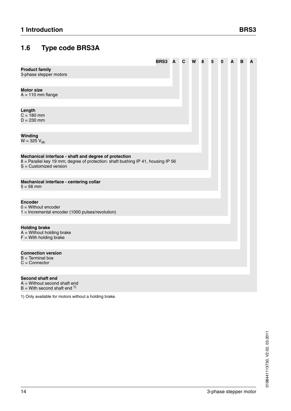### <span id="page-13-0"></span>**1.6 Type code BRS3A**

|                                                                                                                                                                       | BRS3 | A | С | W | 8 | 5 | 0 | A | в | A |
|-----------------------------------------------------------------------------------------------------------------------------------------------------------------------|------|---|---|---|---|---|---|---|---|---|
| <b>Product family</b><br>3-phase stepper motors                                                                                                                       |      |   |   |   |   |   |   |   |   |   |
| <b>Motor size</b><br>$A = 110$ mm flange                                                                                                                              |      |   |   |   |   |   |   |   |   |   |
| Length<br>$C = 180$ mm<br>$D = 230$ mm                                                                                                                                |      |   |   |   |   |   |   |   |   |   |
| Winding<br>$W = 325 V_{dc}$                                                                                                                                           |      |   |   |   |   |   |   |   |   |   |
| Mechanical interface - shaft and degree of protection<br>8 = Parallel key 19 mm; degree of protection: shaft bushing IP 41, housing IP 56<br>$S =$ Customized version |      |   |   |   |   |   |   |   |   |   |
| Mechanical interface - centering collar<br>$5 = 56$ mm                                                                                                                |      |   |   |   |   |   |   |   |   |   |
| <b>Encoder</b><br>$0 =$ Without encoder<br>1 = Incremental encoder (1000 pulses/revolution)                                                                           |      |   |   |   |   |   |   |   |   |   |
| <b>Holding brake</b><br>$A =$ Without holding brake<br>$F =$ With holding brake                                                                                       |      |   |   |   |   |   |   |   |   |   |
| <b>Connection version</b><br>$B = Terminal box$<br>$C =$ Connector                                                                                                    |      |   |   |   |   |   |   |   |   |   |
| <b>Second shaft end</b><br>$A =$ Without second shaft end<br>$B =$ With second shaft end $1$ )                                                                        |      |   |   |   |   |   |   |   |   |   |
|                                                                                                                                                                       |      |   |   |   |   |   |   |   |   |   |

1) Only available for motors without a holding brake.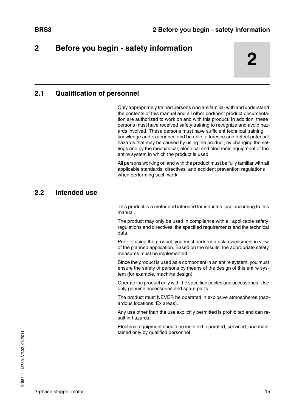### <span id="page-14-0"></span>**2 2 Before you begin - safety information**

### <span id="page-14-1"></span>**2.1 Qualification of personnel**

Only appropriately trained persons who are familiar with and understand the contents of this manual and all other pertinent product documentation are authorized to work on and with this product. In addition, these persons must have received safety training to recognize and avoid hazards involved. These persons must have sufficient technical training, knowledge and experience and be able to foresee and detect potential hazards that may be caused by using the product, by changing the settings and by the mechanical, electrical and electronic equipment of the entire system in which the product is used.

All persons working on and with the product must be fully familiar with all applicable standards, directives, and accident prevention regulations when performing such work.

### <span id="page-14-2"></span>**2.2 Intended use**

This product is a motor and intended for industrial use according to this manual.

The product may only be used in compliance with all applicable safety regulations and directives, the specified requirements and the technical data.

Prior to using the product, you must perform a risk assessment in view of the planned application. Based on the results, the appropriate safety measures must be implemented.

Since the product is used as a component in an entire system, you must ensure the safety of persons by means of the design of this entire system (for example, machine design).

Operate the product only with the specified cables and accessories. Use only genuine accessories and spare parts.

The product must NEVER be operated in explosive atmospheres (hazardous locations, Ex areas).

Any use other than the use explicitly permitted is prohibited and can result in hazards.

Electrical equipment should be installed, operated, serviced, and maintained only by qualified personnel.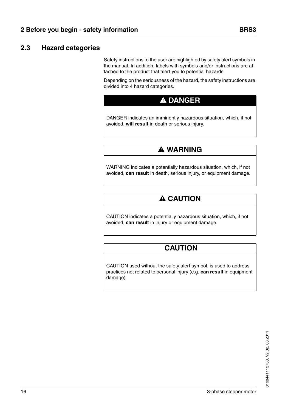### <span id="page-15-0"></span>**2.3 Hazard categories**

Safety instructions to the user are highlighted by safety alert symbols in the manual. In addition, labels with symbols and/or instructions are attached to the product that alert you to potential hazards.

Depending on the seriousness of the hazard, the safety instructions are divided into 4 hazard categories.

### **@ DANGER**

DANGER indicates an imminently hazardous situation, which, if not avoided, **will result** in death or serious injury.

### **@ WARNING**

WARNING indicates a potentially hazardous situation, which, if not avoided, **can result** in death, serious injury, or equipment damage.

### **@ CAUTION**

CAUTION indicates a potentially hazardous situation, which, if not avoided, **can result** in injury or equipment damage.

### **CAUTION**

CAUTION used without the safety alert symbol, is used to address practices not related to personal injury (e.g. **can result** in equipment damage).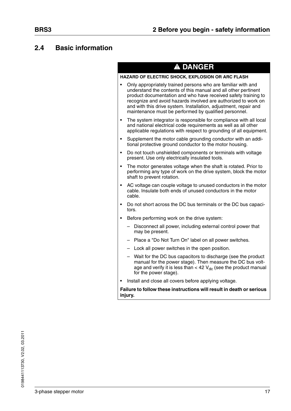### <span id="page-16-0"></span>**2.4 Basic information**

| HAZARD OF ELECTRIC SHOCK, EXPLOSION OR ARC FLASH                                                                                                                                                                                                                                                                                                                                                |  |  |  |  |
|-------------------------------------------------------------------------------------------------------------------------------------------------------------------------------------------------------------------------------------------------------------------------------------------------------------------------------------------------------------------------------------------------|--|--|--|--|
| Only appropriately trained persons who are familiar with and<br>understand the contents of this manual and all other pertinent<br>product documentation and who have received safety training to<br>recognize and avoid hazards involved are authorized to work on<br>and with this drive system. Installation, adjustment, repair and<br>maintenance must be performed by qualified personnel. |  |  |  |  |
| The system integrator is responsible for compliance with all local<br>and national electrical code requirements as well as all other<br>applicable regulations with respect to grounding of all equipment.                                                                                                                                                                                      |  |  |  |  |
| Supplement the motor cable grounding conductor with an addi-<br>tional protective ground conductor to the motor housing.                                                                                                                                                                                                                                                                        |  |  |  |  |
| Do not touch unshielded components or terminals with voltage<br>present. Use only electrically insulated tools.                                                                                                                                                                                                                                                                                 |  |  |  |  |
| The motor generates voltage when the shaft is rotated. Prior to<br>performing any type of work on the drive system, block the motor<br>shaft to prevent rotation.                                                                                                                                                                                                                               |  |  |  |  |
| AC voltage can couple voltage to unused conductors in the motor<br>cable. Insulate both ends of unused conductors in the motor<br>cable.                                                                                                                                                                                                                                                        |  |  |  |  |
| Do not short across the DC bus terminals or the DC bus capaci-<br>tors.                                                                                                                                                                                                                                                                                                                         |  |  |  |  |
| Before performing work on the drive system:                                                                                                                                                                                                                                                                                                                                                     |  |  |  |  |
| Disconnect all power, including external control power that<br>may be present.                                                                                                                                                                                                                                                                                                                  |  |  |  |  |
| - Place a "Do Not Turn On" label on all power switches.                                                                                                                                                                                                                                                                                                                                         |  |  |  |  |
| - Lock all power switches in the open position.                                                                                                                                                                                                                                                                                                                                                 |  |  |  |  |
| Wait for the DC bus capacitors to discharge (see the product<br>manual for the power stage). Then measure the DC bus volt-<br>age and verify it is less than < 42 $V_{dc}$ (see the product manual<br>for the power stage).                                                                                                                                                                     |  |  |  |  |
| Install and close all covers before applying voltage.                                                                                                                                                                                                                                                                                                                                           |  |  |  |  |
|                                                                                                                                                                                                                                                                                                                                                                                                 |  |  |  |  |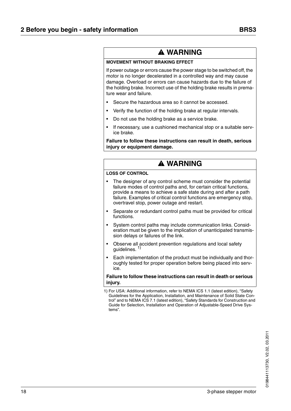### **@ WARNING**

#### **MOVEMENT WITHOUT BRAKING EFFECT**

If power outage or errors cause the power stage to be switched off, the motor is no longer decelerated in a controlled way and may cause damage. Overload or errors can cause hazards due to the failure of the holding brake. Incorrect use of the holding brake results in premature wear and failure.

- Secure the hazardous area so it cannot be accessed.
- Verify the function of the holding brake at regular intervals.
- Do not use the holding brake as a service brake.
- If necessary, use a cushioned mechanical stop or a suitable service brake.

**Failure to follow these instructions can result in death, serious injury or equipment damage.**

### **@ WARNING**

#### **LOSS OF CONTROL**

- The designer of any control scheme must consider the potential failure modes of control paths and, for certain critical functions, provide a means to achieve a safe state during and after a path failure. Examples of critical control functions are emergency stop, overtravel stop, power outage and restart.
- Separate or redundant control paths must be provided for critical functions.
- System control paths may include communication links. Consideration must be given to the implication of unanticipated transmission delays or failures of the link.
- Observe all accident prevention regulations and local safety guidelines.<sup>1)</sup>
- Each implementation of the product must be individually and thoroughly tested for proper operation before being placed into service.

#### **Failure to follow these instructions can result in death or serious injury.**

1) For USA: Additional information, refer to NEMA ICS 1.1 (latest edition), "Safety Guidelines for the Application, Installation, and Maintenance of Solid State Control" and to NEMA ICS 7.1 (latest edition), "Safety Standards for Construction and Guide for Selection, Installation and Operation of Adjustable-Speed Drive Systems".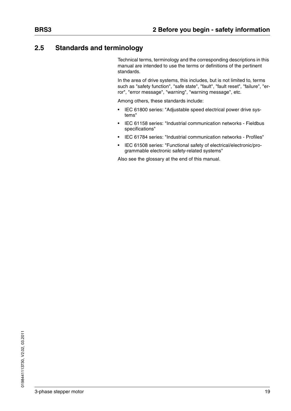### <span id="page-18-0"></span>**2.5 Standards and terminology**

Technical terms, terminology and the corresponding descriptions in this manual are intended to use the terms or definitions of the pertinent standards.

In the area of drive systems, this includes, but is not limited to, terms such as "safety function", "safe state", "fault", "fault reset", "failure", "error", "error message", "warning", "warning message", etc.

Among others, these standards include:

- IEC 61800 series: "Adjustable speed electrical power drive systems"
- IEC 61158 series: "Industrial communication networks Fieldbus specifications"
- IEC 61784 series: "Industrial communication networks Profiles"
- IEC 61508 series: "Functional safety of electrical/electronic/programmable electronic safety-related systems"

Also see the glossary at the end of this manual.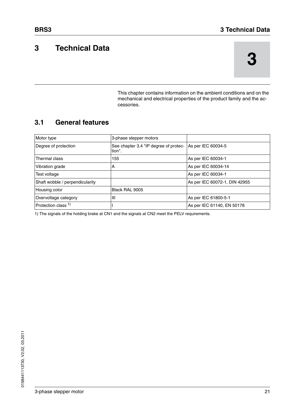### <span id="page-20-0"></span>**3 Technical Data**

This chapter contains information on the ambient conditions and on the mechanical and electrical properties of the product family and the accessories.

### <span id="page-20-1"></span>**3.1 General features**

| Motor type                      | 3-phase stepper motors                          |                               |
|---------------------------------|-------------------------------------------------|-------------------------------|
| Degree of protection            | See chapter 3.4 "IP degree of protec-<br>tion". | As per IEC 60034-5            |
| Thermal class                   | 155                                             | As per IEC 60034-1            |
| Vibration grade                 | A                                               | As per IEC 60034-14           |
| Test voltage                    |                                                 | As per IEC 60034-1            |
| Shaft wobble / perpendicularity |                                                 | As per IEC 60072-1, DIN 42955 |
| Housing color                   | Black RAL 9005                                  |                               |
| Overvoltage category            | IШ                                              | As per IEC 61800-5-1          |
| Protection class <sup>1)</sup>  |                                                 | As per IEC 61140, EN 50178    |

1) The signals of the holding brake at CN1 and the signals at CN2 meet the PELV requirements.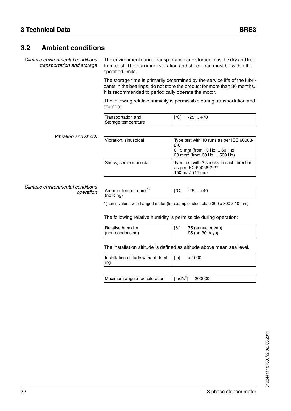### <span id="page-21-0"></span>**3.2 Ambient conditions**

*Climatic environmental conditions transportation and storage*

The environment during transportation and storage must be dry and free from dust. The maximum vibration and shock load must be within the specified limits.

The storage time is primarily determined by the service life of the lubricants in the bearings; do not store the product for more than 36 months. It is recommended to periodically operate the motor.

The following relative humidity is permissible during transportation and storage:

| Transportation and<br>Storage temperature | ⊪°Cl | $-25+70$ |
|-------------------------------------------|------|----------|
|                                           |      |          |

### *Vibration and shock*

| Vibration, sinusoidal  | Type test with 10 runs as per IEC 60068-<br>$2-6$<br>0.15 mm (from 10 Hz  60 Hz)<br>$\sqrt{20}$ m/s <sup>2</sup> (from 60 Hz  500 Hz) |
|------------------------|---------------------------------------------------------------------------------------------------------------------------------------|
| Shock, semi-sinusoidal | Type test with 3 shocks in each direction<br>as per IEC 60068-2-27<br>150 m/s <sup>2</sup> (11 ms)                                    |

#### *Climatic environmental conditions operation*

| Ambient temperature $1$ ) | $\lceil{^{\circ}C}\rceil$ | $-25+40$ |
|---------------------------|---------------------------|----------|
| $ $ (no icing)            |                           |          |

1) Limit values with flanged motor (for example, steel plate 300 x 300 x 10 mm)

The following relative humidity is permissible during operation:

| Relative humidity    | $\lceil\% \rceil$ | 75 (annual mean)           |
|----------------------|-------------------|----------------------------|
| $ $ (non-condensing) |                   | $ 95 \rangle$ (on 30 days) |

#### The installation altitude is defined as altitude above mean sea level.

| Installation altitude without derat- [[m]<br>lng | $\leq 1000$ |
|--------------------------------------------------|-------------|
|                                                  |             |

| Maximum angular acceleration | $\lceil \textsf{rad/s}^2 \rceil$ 200000 |  |
|------------------------------|-----------------------------------------|--|
|------------------------------|-----------------------------------------|--|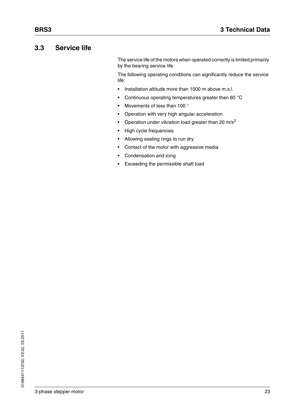### <span id="page-22-0"></span>**3.3 Service life**

The service life of the motors when operated correctly is limited primarily by the bearing service life.

The following operating conditions can significantly reduce the service life:

- Installation altitude more than 1000 m above m.s.l.
- Continuous operating temperatures greater than 80 °C
- Movements of less than 100 °
- Operation with very high angular acceleration
- Operation under vibration load greater than 20  $m/s^2$
- High cycle frequencies
- Allowing sealing rings to run dry
- Contact of the motor with aggressive media
- Condensation and icing
- Exceeding the permissible shaft load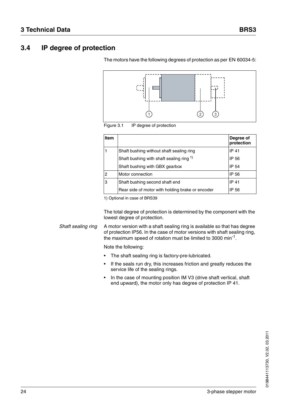### <span id="page-23-0"></span>**3.4 IP degree of protection**



The motors have the following degrees of protection as per EN 60034-5:

Figure 3.1 IP degree of protection

| <b>Item</b>    |                                                  | Degree of<br>protection |
|----------------|--------------------------------------------------|-------------------------|
|                | Shaft bushing without shaft sealing ring         | IP 41                   |
|                | Shaft bushing with shaft sealing ring 1)         | IP 56                   |
|                | Shaft bushing with GBX gearbox                   | <b>IP 54</b>            |
| $\overline{c}$ | Motor connection                                 | IP 56                   |
| 3              | Shaft bushing second shaft end                   | IP 41                   |
|                | Rear side of motor with holding brake or encoder | IP 56                   |

1) Optional in case of BRS39

The total degree of protection is determined by the component with the lowest degree of protection.

*Shaft sealing ring* A motor version with a shaft sealing ring is available so that has degree of protection IP56. In the case of motor versions with shaft sealing ring, the maximum speed of rotation must be limited to 3000 min<sup>-1</sup>.

Note the following:

- The shaft sealing ring is factory-pre-lubricated.
- If the seals run dry, this increases friction and greatly reduces the service life of the sealing rings.
- In the case of mounting position IM V3 (drive shaft vertical, shaft end upward), the motor only has degree of protection IP 41.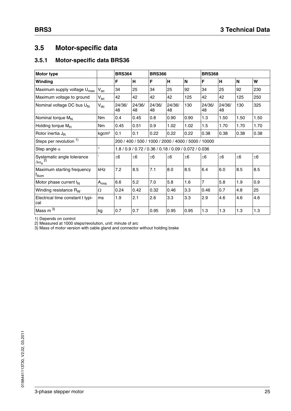### <span id="page-24-0"></span>**3.5 Motor-specific data**

### <span id="page-24-1"></span>**3.5.1 Motor-specific data BRS36**

| <b>Motor type</b>                                   |                            | <b>BRS364</b><br><b>BRS366</b>                        |              |              |              |      | <b>BRS368</b>  |              |         |         |
|-----------------------------------------------------|----------------------------|-------------------------------------------------------|--------------|--------------|--------------|------|----------------|--------------|---------|---------|
| Winding                                             |                            | F                                                     | H            | F            | H            | N    | F              | н            | N       | W       |
| Maximum supply voltage U <sub>max</sub>             | $V_{ac}$                   | 34                                                    | 25           | 34           | 25           | 92   | 34             | 25           | 92      | 230     |
| Maximum voltage to ground                           | $\mathsf{V}_{\mathsf{ac}}$ | 42                                                    | 42           | 42           | 42           | 125  | 42             | 42           | 125     | 250     |
| Nominal voltage DC bus U <sub>N</sub>               | $\mathsf{V}_{\mathsf{dc}}$ | 24/36/<br>48                                          | 24/36/<br>48 | 24/36/<br>48 | 24/36/<br>48 | 130  | 24/36/<br>48   | 24/36/<br>48 | 130     | 325     |
| Nominal torque $M_N$                                | <b>Nm</b>                  | 0.4                                                   | 0.45         | 0.8          | 0.90         | 0.90 | 1.3            | 1.50         | 1.50    | 1.50    |
| Holding torque $M_H$                                | <b>Nm</b>                  | 0.45                                                  | 0.51         | 0.9          | 1.02         | 1.02 | 1.5            | 1.70         | 1.70    | 1.70    |
| Rotor inertia $J_R$                                 | kgcm <sup>2</sup>          | 0.1                                                   | 0.1          | 0.22         | 0.22         | 0.22 | 0.38           | 0.38         | 0.38    | 0.38    |
| Steps per revolution 1)                             |                            | 200 / 400 / 500 / 1000 / 2000 / 4000 / 5000 / 10000   |              |              |              |      |                |              |         |         |
| Step angle $\alpha$                                 | $\circ$                    | 1.8 / 0.9 / 0.72 / 0.36 / 0.18 / 0.09 / 0.072 / 0.036 |              |              |              |      |                |              |         |         |
| Systematic angle tolerance<br>$\Delta \alpha_s^{2}$ | ,                          | ±6                                                    | ±6           | ±6           | ±6           | ±6   | $\pm 6$        | ±6           | $\pm 6$ | $\pm 6$ |
| Maximum starting frequency<br><sup>t</sup> Aom      | <b>kHz</b>                 | 7.2                                                   | 8.5          | 7.1          | 8.0          | 8.5  | 6.4            | 6.0          | 8.5     | 8.5     |
| Motor phase current $I_N$                           | $A_{rms}$                  | 6.6                                                   | 5.2          | 7.0          | 5.8          | 1.6  | $\overline{7}$ | 5.8          | 1.9     | 0.9     |
| Winding resistance R <sub>W</sub>                   | Ω                          | 0.24                                                  | 0.42         | 0.32         | 0.46         | 3.3  | 0.46           | 0.7          | 4.8     | 25      |
| Electrical time constant t typi-<br>cal             | ms                         | 1.9                                                   | 2.1          | 2.6          | 3.3          | 3.3  | 2.9            | 4.6          | 4.6     | 4.6     |
| Mass $m3$                                           | kg                         | 0.7                                                   | 0.7          | 0.95         | 0.95         | 0.95 | 1.3            | 1.3          | 1.3     | 1.3     |

1) Depends on control

2) Measured at 1000 steps/revolution, unit: minute of arc

3) Mass of motor version with cable gland and connector without holding brake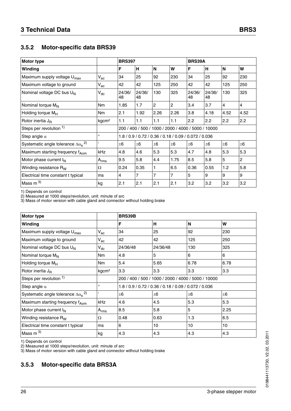### <span id="page-25-0"></span>**3.5.2 Motor-specific data BRS39**

| <b>BRS397</b><br><b>Motor type</b>                         |                            |                                                       |              |                |                |              | BRS39A       |                |                |
|------------------------------------------------------------|----------------------------|-------------------------------------------------------|--------------|----------------|----------------|--------------|--------------|----------------|----------------|
| Winding                                                    |                            | F                                                     | H            | <b>N</b>       | W              | F            | н            | <b>N</b>       | W              |
| Maximum supply voltage U <sub>max</sub>                    | $V_{ac}$                   | 34                                                    | 25           | 92             | 230            | 34           | 25           | 92             | 230            |
| Maximum voltage to ground                                  | $\mathsf{V}_{\mathsf{ac}}$ | 42                                                    | 42           | 125            | 250            | 42           | 42           | 125            | 250            |
| Nominal voltage DC bus $U_N$                               | $\mathsf{V}_{\mathsf{dc}}$ | 24/36/<br>48                                          | 24/36/<br>48 | 130            | 325            | 24/36/<br>48 | 24/36/<br>48 | 130            | 325            |
| Nominal torque M <sub>N</sub>                              | <b>Nm</b>                  | 1.85                                                  | 1.7          | $\overline{2}$ | $\overline{c}$ | 3.4          | 3.7          | $\overline{4}$ | $\overline{4}$ |
| Holding torque M <sub>H</sub>                              | <b>Nm</b>                  | 2.1                                                   | 1.92         | 2.26           | 2.26           | 3.8          | 4.18         | 4.52           | 4.52           |
| Rotor inertia $J_R$                                        | kgcm <sup>2</sup>          | 1.1                                                   | 1.1          | 1.1            | 1.1            | 2.2          | 2.2          | 2.2            | 2.2            |
| Steps per revolution 1)                                    |                            | 200 / 400 / 500 / 1000 / 2000 / 4000 / 5000 / 10000   |              |                |                |              |              |                |                |
| Step angle $\alpha$                                        | $\circ$                    | 1.8 / 0.9 / 0.72 / 0.36 / 0.18 / 0.09 / 0.072 / 0.036 |              |                |                |              |              |                |                |
| Systematic angle tolerance $\Delta \alpha_s$ <sup>2)</sup> |                            | $\pm 6$                                               | $\pm 6$      | $\pm 6$        | ±6             | $\pm 6$      | $\pm 6$      | ±6             | ±6             |
| Maximum starting frequency f <sub>Aom</sub>                | kHz                        | 4.8                                                   | 4.6          | 5.3            | 5.3            | 4.7          | 4.8          | 5.3            | 5.3            |
| Motor phase current $I_N$                                  | $A_{\text{rms}}$           | 9.5                                                   | 5.8          | 4.4            | 1.75           | 8.5          | 5.8          | 5              | $\overline{c}$ |
| Winding resistance R <sub>W</sub>                          | Ω                          | 0.24                                                  | 0.35         | 1              | 6.5            | 0.36         | 0.55         | 1.2            | 5.8            |
| Electrical time constant t typical                         | ms                         | $\overline{4}$                                        | 7            | 7              | 7              | 5            | 9            | 9              | 9              |
| Mass $m^{3}$                                               | kg                         | 2.1                                                   | 2.1          | 2.1            | 2.1            | 3.2          | 3.2          | 3.2            | 3.2            |

1) Depends on control

2) Measured at 1000 steps/revolution, unit: minute of arc

3) Mass of motor version with cable gland and connector without holding brake

| Motor type                                                 |                            | <b>BRS39B</b>                                         |          |         |      |  |
|------------------------------------------------------------|----------------------------|-------------------------------------------------------|----------|---------|------|--|
| Winding                                                    |                            | F                                                     | H        | N       | W    |  |
| Maximum supply voltage U <sub>max</sub><br>$V_{ac}$        |                            | 34                                                    | 25       | 92      | 230  |  |
| Maximum voltage to ground                                  | $\mathsf{V}_{\mathsf{ac}}$ | 42                                                    | 42       | 125     | 250  |  |
| Nominal voltage DC bus U <sub>N</sub>                      | $V_{dc}$                   | 24/36/48                                              | 24/36/48 | 130     | 325  |  |
| Nominal torque M <sub>N</sub>                              | N <sub>m</sub>             | 4.8                                                   | 5        | 6       | 6    |  |
| Holding torque $M_H$                                       | N <sub>m</sub>             | 5.4                                                   | 5.65     | 6.78    | 6.78 |  |
| Rotor inertia $J_R$                                        | kgcm <sup>2</sup>          | 3.3                                                   | 3.3      | 3.3     | 3.3  |  |
| Steps per revolution 1)                                    |                            | 200 / 400 / 500 / 1000 / 2000 / 4000 / 5000 / 10000   |          |         |      |  |
| Step angle $\alpha$                                        | $\circ$                    | 1.8 / 0.9 / 0.72 / 0.36 / 0.18 / 0.09 / 0.072 / 0.036 |          |         |      |  |
| Systematic angle tolerance $\Delta \alpha_s$ <sup>2)</sup> |                            | $\pm 6$                                               | $\pm 6$  | $\pm 6$ | ±6   |  |
| Maximum starting frequency f <sub>Aom</sub>                | kHz                        | 4.6                                                   | 4.5      | 5.3     | 5.3  |  |
| Motor phase current $I_N$                                  | $A_{rms}$                  | 8.5                                                   | 5.8      | 5       | 2.25 |  |
| Winding resistance R <sub>W</sub>                          | Ω                          | 0.48                                                  | 0.63     | 1.3     | 6.5  |  |
| Electrical time constant t typical                         | ms                         | 6                                                     | 10       | 10      | 10   |  |
| Mass $m3$                                                  | kg                         | 4.3                                                   | l4.3     | 4.3     | 4.3  |  |

1) Depends on control

2) Measured at 1000 steps/revolution, unit: minute of arc

3) Mass of motor version with cable gland and connector without holding brake

### <span id="page-25-1"></span>**3.5.3 Motor-specific data BRS3A**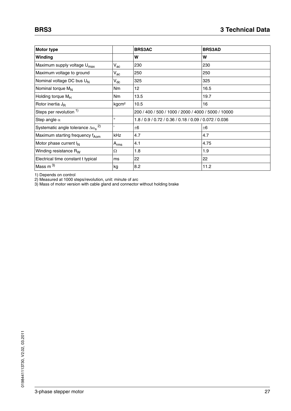| <b>Motor type</b>                                         |                            | <b>BRS3AC</b>                                         | <b>BRS3AD</b> |  |  |
|-----------------------------------------------------------|----------------------------|-------------------------------------------------------|---------------|--|--|
| Winding                                                   |                            | W                                                     | W             |  |  |
| Maximum supply voltage U <sub>max</sub>                   | $V_{ac}$                   | 230                                                   | 230           |  |  |
| Maximum voltage to ground                                 | $V_{ac}$                   | 250                                                   | 250           |  |  |
| Nominal voltage DC bus U <sub>N</sub>                     | $\mathsf{V}_{\mathsf{dc}}$ | 325                                                   | 325           |  |  |
| Nominal torque M <sub>N</sub>                             | N <sub>m</sub>             | 12                                                    | 16.5          |  |  |
| Holding torque M <sub>H</sub>                             | N <sub>m</sub>             | 13.5                                                  | 19.7          |  |  |
| Rotor inertia J <sub>R</sub>                              | kgcm <sup>2</sup>          | 10.5                                                  | 16            |  |  |
| Steps per revolution 1)                                   |                            | 200 / 400 / 500 / 1000 / 2000 / 4000 / 5000 / 10000   |               |  |  |
| Step angle $\alpha$                                       | $\circ$                    | 1.8 / 0.9 / 0.72 / 0.36 / 0.18 / 0.09 / 0.072 / 0.036 |               |  |  |
| Systematic angle tolerance $\Delta\alpha_s$ <sup>2)</sup> |                            | ±6                                                    | ±6            |  |  |
| Maximum starting frequency f <sub>Aom</sub>               | <b>kHz</b>                 | 4.7                                                   | 4.7           |  |  |
| Motor phase current I <sub>N</sub>                        | $A_{rms}$                  | 4.1                                                   | 4.75          |  |  |
| Winding resistance R <sub>W</sub>                         | Ω                          | 1.8                                                   | 1.9           |  |  |
| Electrical time constant t typical                        | ms                         | 22                                                    | 22            |  |  |
| Mass m $^{3)}$                                            | kg                         | 8.2                                                   | 11.2          |  |  |

1) Depends on control

2) Measured at 1000 steps/revolution, unit: minute of arc

3) Mass of motor version with cable gland and connector without holding brake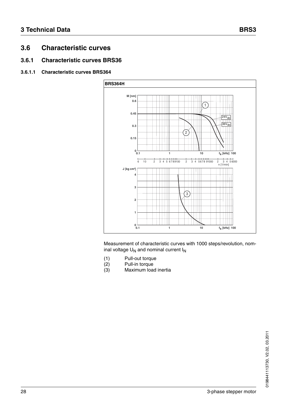### <span id="page-27-0"></span>**3.6 Characteristic curves**

### <span id="page-27-1"></span>**3.6.1 Characteristic curves BRS36**

#### **3.6.1.1 Characteristic curves BRS364**



- (1) Pull-out torque<br>(2) Pull-in torque
- (2) Pull-in torque<br>(3) Maximum loa
- Maximum load inertia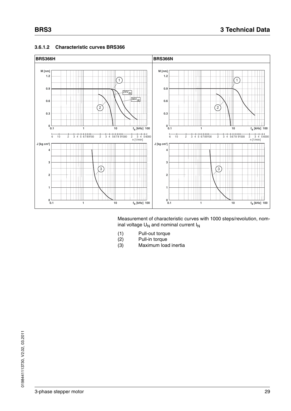

#### **3.6.1.2 Characteristic curves BRS366**

- (1) Pull-out torque<br>(2) Pull-in torque
- Pull-in torque
- (3) Maximum load inertia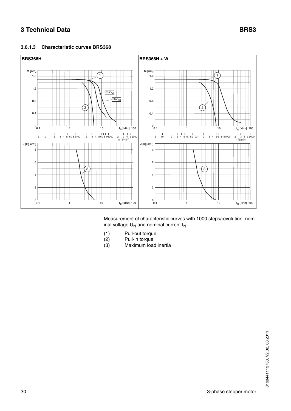

#### **3.6.1.3 Characteristic curves BRS368**

- (1) Pull-out torque
- (2) Pull-in torque
- (3) Maximum load inertia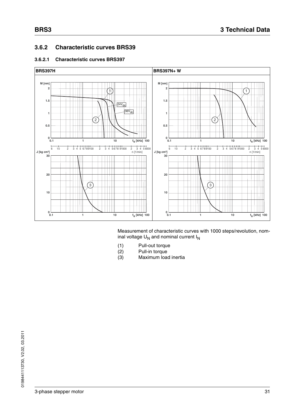### <span id="page-30-0"></span>**3.6.2 Characteristic curves BRS39**

#### **3.6.2.1 Characteristic curves BRS397**



- (1) Pull-out torque<br>(2) Pull-in torque
- (2) Pull-in torque
- Maximum load inertia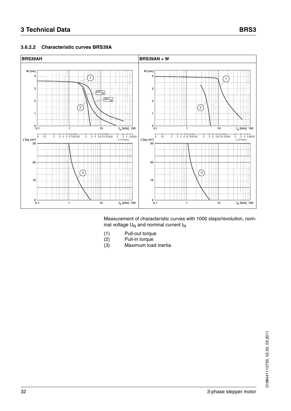#### **3.6.2.2 Characteristic curves BRS39A**



- (1) Pull-out torque
- (2) Pull-in torque
- (3) Maximum load inertia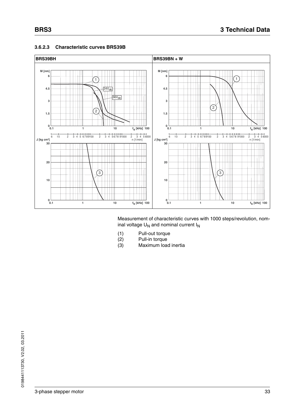

#### **3.6.2.3 Characteristic curves BRS39B**

- (1) Pull-out torque<br>(2) Pull-in torque
- Pull-in torque
- (3) Maximum load inertia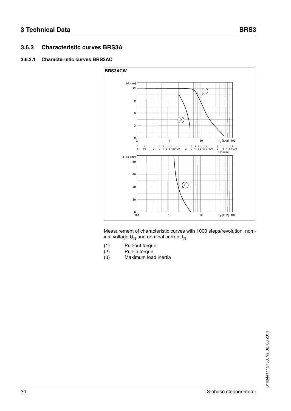### <span id="page-33-0"></span>**3.6.3 Characteristic curves BRS3A**

#### **3.6.3.1 Characteristic curves BRS3AC**



- (1) Pull-out torque<br>(2) Pull-in torque
- (2) Pull-in torque
- Maximum load inertia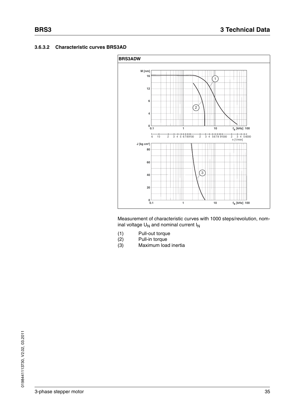

- (1) Pull-out torque<br>(2) Pull-in torque
- Pull-in torque
- (3) Maximum load inertia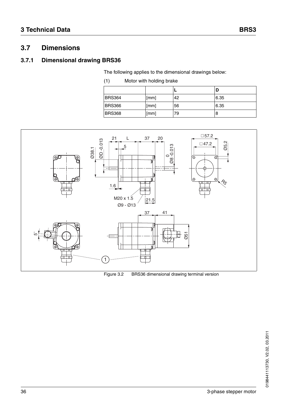### <span id="page-35-0"></span>**3.7 Dimensions**

### <span id="page-35-1"></span>**3.7.1 Dimensional drawing BRS36**

The following applies to the dimensional drawings below:

| (1) |  | Motor with holding brake |  |
|-----|--|--------------------------|--|
|     |  |                          |  |

| <b>BRS364</b> | [mm] | 42 | 6.35 |
|---------------|------|----|------|
| <b>BRS366</b> | [mm] | 56 | 6.35 |
| <b>BRS368</b> | [mm] | 79 | 8    |



Figure 3.2 BRS36 dimensional drawing terminal version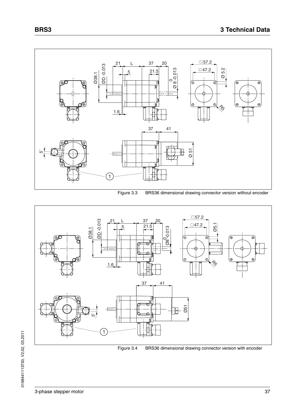



Figure 3.3 BRS36 dimensional drawing connector version without encoder



Figure 3.4 BRS36 dimensional drawing connector version with encoder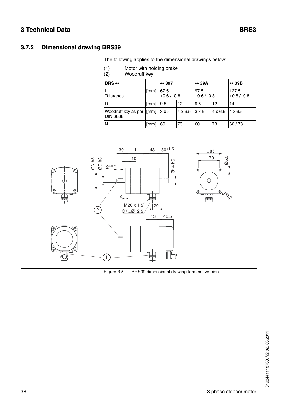### **3.7.2 Dimensional drawing BRS39**

The following applies to the dimensional drawings below:

- (1) Motor with holding brake<br>(2) Woodruff key
- Woodruff key

| <b>BRS</b>                                                             |      | $\bullet\bullet$ 397  |                             | $\bullet\bullet$ 39A |                                 | $\bullet\bullet$ 39B   |
|------------------------------------------------------------------------|------|-----------------------|-----------------------------|----------------------|---------------------------------|------------------------|
| Tolerance                                                              | [mm] | 67.5<br>$+0.6 / -0.8$ |                             | 97.5<br>$+0.6/ -0.8$ |                                 | 127.5<br>$+0.6 / -0.8$ |
| D                                                                      | [mm] | 9.5                   | $12 \overline{ }$           | 9.5                  | 12                              | 14                     |
| Woodruff key as per $\lceil \text{mm} \rceil$ 3 x 5<br><b>DIN 6888</b> |      |                       | $4 \times 6.5$ 3 $\times 5$ |                      | $4 \times 6.5$   $4 \times 6.5$ |                        |
| N                                                                      | [mm] | 60                    | 73                          | 60                   | 73                              | 60/73                  |



Figure 3.5 BRS39 dimensional drawing terminal version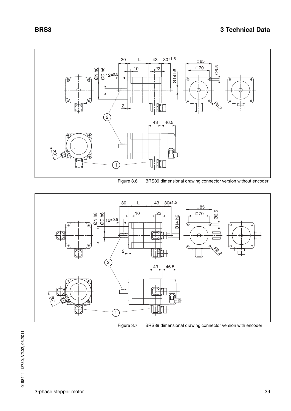





Figure 3.7 BRS39 dimensional drawing connector version with encoder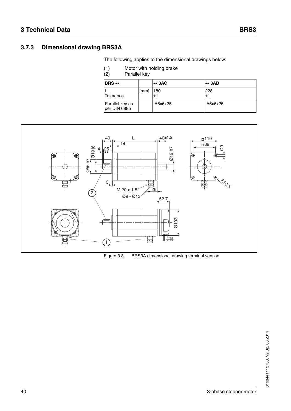#### The following applies to the dimensional drawings below:

(1) Motor with holding brake<br>(2) Parallel key

Parallel key

| <b>BRS</b> ••                   |      | $\bullet\bullet$ 3AC | $\bullet\bullet$ 3AD |
|---------------------------------|------|----------------------|----------------------|
| Tolerance                       | [mm] | 180<br>$\pm 1$       | 228<br>±1            |
| Parallel key as<br>per DIN 6885 |      | A6x6x25              | A6x6x25              |



Figure 3.8 BRS3A dimensional drawing terminal version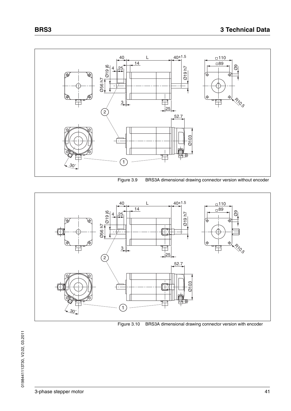

Figure 3.9 BRS3A dimensional drawing connector version without encoder

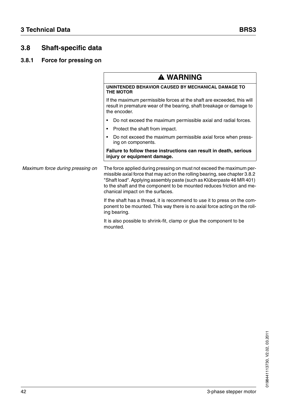## **3.8 Shaft-specific data**

## **3.8.1 Force for pressing on**

|                                  | <b>A WARNING</b>                                                                                                                                                                                                                                                                                                                           |
|----------------------------------|--------------------------------------------------------------------------------------------------------------------------------------------------------------------------------------------------------------------------------------------------------------------------------------------------------------------------------------------|
|                                  | UNINTENDED BEHAVIOR CAUSED BY MECHANICAL DAMAGE TO<br><b>THE MOTOR</b>                                                                                                                                                                                                                                                                     |
|                                  | If the maximum permissible forces at the shaft are exceeded, this will<br>result in premature wear of the bearing, shaft breakage or damage to<br>the encoder.                                                                                                                                                                             |
|                                  | Do not exceed the maximum permissible axial and radial forces.                                                                                                                                                                                                                                                                             |
|                                  | Protect the shaft from impact.                                                                                                                                                                                                                                                                                                             |
|                                  | Do not exceed the maximum permissible axial force when press-<br>ing on components.                                                                                                                                                                                                                                                        |
|                                  | Failure to follow these instructions can result in death, serious<br>injury or equipment damage.                                                                                                                                                                                                                                           |
| Maximum force during pressing on | The force applied during pressing on must not exceed the maximum per-<br>missible axial force that may act on the rolling bearing, see chapter 3.8.2<br>"Shaft load". Applying assembly paste (such as Klüberpaste 46 MR 401)<br>to the shaft and the component to be mounted reduces friction and me-<br>chanical impact on the surfaces. |
|                                  | If the shaft has a thread, it is recommend to use it to press on the com-<br>ponent to be mounted. This way there is no axial force acting on the roll-<br>ing bearing.                                                                                                                                                                    |
|                                  | It is also possible to shrink-fit, clamp or glue the component to be<br>mounted.                                                                                                                                                                                                                                                           |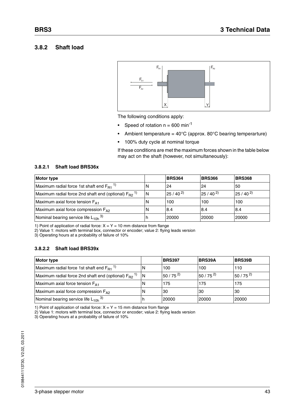#### <span id="page-42-5"></span><span id="page-42-0"></span>**3.8.2 Shaft load**



The following conditions apply:

- Speed of rotation  $n = 600$  min<sup>-1</sup>
- Ambient temperature =  $40^{\circ}$ C (approx. 80°C bearing temperarture)
- 100% duty cycle at nominal torque

<span id="page-42-2"></span>If these conditions are met the maximum forces shown in the table below may act on the shaft (however, not simultaneously):

#### **3.8.2.1 Shaft load BRS36x**

<span id="page-42-1"></span>

| <b>Motor type</b>                                                    |    | <b>BRS364</b> | <b>BRS366</b> | <b>BRS368</b> |
|----------------------------------------------------------------------|----|---------------|---------------|---------------|
| Maximum radial force 1st shaft end $F_{B1}$ <sup>1)</sup>            | N  | 24            | 24            | 50            |
| Maximum radial force 2nd shaft end (optional) $F_{B2}$ <sup>1)</sup> | ΙN | $25/40^{2}$   | $25/40^{2}$   | $25/40^{2}$   |
| Maximum axial force tension F <sub>A1</sub>                          | N  | 100           | 100           | 100           |
| Maximum axial force compression $F_{A2}$                             | 'N | 8.4           | l8.4          | 18.4          |
| Nominal bearing service life $L_{10h}$ <sup>3)</sup>                 | n  | 20000         | 20000         | 20000         |

1) Point of application of radial force:  $X = Y = 10$  mm distance from flange

2) Value 1: motors with terminal box, connector or encoder; value 2: flying leads version

3) Operating hours at a probability of failure of 10%

#### **3.8.2.2 Shaft load BRS39x**

<span id="page-42-4"></span><span id="page-42-3"></span>

| <b>Motor type</b>                                                    |    | <b>BRS397</b> | <b>BRS39A</b> | <b>BRS39B</b> |
|----------------------------------------------------------------------|----|---------------|---------------|---------------|
| Maximum radial force 1st shaft end $F_{B1}$ <sup>1)</sup>            | ١N | 100           | 100           | 110           |
| Maximum radial force 2nd shaft end (optional) $F_{B2}$ <sup>1)</sup> | 1N | $50/75^{2}$   | $150/75^{2}$  | $150/75^{2}$  |
| Maximum axial force tension F <sub>A1</sub>                          | ΙN | 175           | 175           | 175           |
| Maximum axial force compression F <sub>A2</sub>                      | ΙN | 30            | 30            | 30            |
| Nominal bearing service life $L_{10h}$ <sup>3)</sup>                 |    | 20000         | 20000         | 20000         |

1) Point of application of radial force:  $X = Y = 15$  mm distance from flange

2) Value 1: motors with terminal box, connector or encoder; value 2: flying leads version

3) Operating hours at a probability of failure of 10%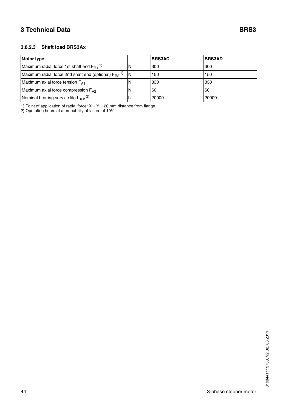#### **3.8.2.3 Shaft load BRS3Ax**

<span id="page-43-0"></span>

| <b>Motor type</b>                                                    |     | <b>BRS3AC</b> | <b>BRS3AD</b> |
|----------------------------------------------------------------------|-----|---------------|---------------|
| Maximum radial force 1st shaft end $F_{B1}$ <sup>1)</sup>            | N   | 300           | 300           |
| Maximum radial force 2nd shaft end (optional) $F_{B2}$ <sup>1)</sup> | IN. | 150           | 150           |
| Maximum axial force tension F <sub>A1</sub>                          | N   | 330           | 330           |
| Maximum axial force compression $F_{A2}$                             | N   | 60            | l60           |
| Nominal bearing service life $L_{10h}$ <sup>2)</sup>                 | ш   | 20000         | 20000         |

1) Point of application of radial force:  $X = Y = 20$  mm distance from flange

2) Operating hours at a probability of failure of 10%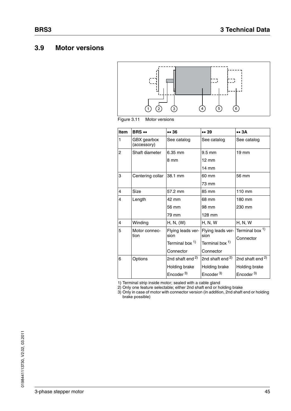## **3.9 Motor versions**





| Item           | <b>BRS </b>                | 36                          | 39                          | $\bullet \bullet 3A$        |
|----------------|----------------------------|-----------------------------|-----------------------------|-----------------------------|
| 1              | GBX gearbox<br>(accessory) | See catalog                 | See catalog                 | See catalog                 |
| $\overline{c}$ | Shaft diameter             | 6.35 mm                     | $9.5 \text{ mm}$            | $19 \text{ mm}$             |
|                |                            | 8 mm                        | $12 \text{ mm}$             |                             |
|                |                            |                             | 14 mm                       |                             |
| 3              | Centering collar           | 38.1 mm                     | 60 mm                       | 56 mm                       |
|                |                            |                             | 73 mm                       |                             |
| 4              | Size                       | 57.2 mm                     | 85 mm                       | $110 \text{ mm}$            |
| 4              | Length                     | 42 mm                       | 68 mm                       | 180 mm                      |
|                |                            | 56 mm                       | 98 mm                       | 230 mm                      |
|                |                            | 79 mm                       | 128 mm                      |                             |
| 4              | Winding                    | H, N, (W)                   | <b>H, N, W</b>              | <b>H, N, W</b>              |
| 5              | Motor connec-              | Flying leads ver-           | Flying leads ver-           | Terminal box <sup>1)</sup>  |
|                | tion                       | sion                        | sion                        | Connector                   |
|                |                            | Terminal box 1)             | Terminal box 1)             |                             |
|                |                            | Connector                   | Connector                   |                             |
| 6              | Options                    | 2nd shaft end <sup>2)</sup> | 2nd shaft end <sup>2)</sup> | 2nd shaft end <sup>2)</sup> |
|                |                            | Holding brake               | Holding brake               | Holding brake               |
|                |                            | Encoder <sup>3)</sup>       | Encoder <sup>3)</sup>       | Encoder <sup>3)</sup>       |

<span id="page-44-2"></span><span id="page-44-1"></span><span id="page-44-0"></span>1) Terminal strip inside motor; sealed with a cable gland

2) Only one feature selectable; either 2nd shaft end or holding brake

3) Only in case of motor with connector version (in addition, 2nd shaft end or holding brake possible)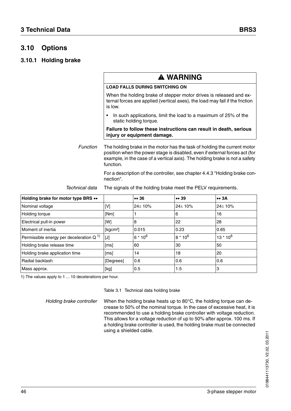## **3.10 Options**

#### <span id="page-45-1"></span>**3.10.1 Holding brake**

|          | <b>A WARNING</b>                                                                                                                                                                                                                                    |
|----------|-----------------------------------------------------------------------------------------------------------------------------------------------------------------------------------------------------------------------------------------------------|
|          | <b>LOAD FALLS DURING SWITCHING ON</b>                                                                                                                                                                                                               |
|          | When the holding brake of stepper motor drives is released and ex-<br>ternal forces are applied (vertical axes), the load may fall if the friction<br>is low.                                                                                       |
|          | In such applications, limit the load to a maximum of 25% of the<br>static holding torque.                                                                                                                                                           |
|          | Failure to follow these instructions can result in death, serious<br>injury or equipment damage.                                                                                                                                                    |
| Function | The holding brake in the motor has the task of holding the current motor<br>position when the power stage is disabled, even if external forces act (for<br>example, in the case of a vertical axis). The holding brake is not a safety<br>function. |
|          | For a description of the controller, see chapter 4.4.3 "Holding brake con-<br>nection".                                                                                                                                                             |

| Technical data | The signals of the holding brake meet the PELV requirements. |
|----------------|--------------------------------------------------------------|
|                |                                                              |

| Holding brake for motor type BRS ••      |                      | 36            | 39                  | $\bullet\bullet$ 3A |
|------------------------------------------|----------------------|---------------|---------------------|---------------------|
| Nominal voltage                          | [V]                  | $24 \pm 10\%$ | $24 + 10%$          | $24 \pm 10\%$       |
| Holding torque                           | [Nm]                 |               | 6                   | 16                  |
| Electrical pull-in power                 | [W]                  | 8             | 22                  | 28                  |
| Moment of inertia                        | [kqcm <sup>2</sup> ] | 0.015         | 0.23                | 0.65                |
| Permissible energy per deceleration $Q1$ | [J]                  | $6 * 10^6$    | 8 * 10 <sup>6</sup> | $13 * 10^6$         |
| Holding brake release time               | [ms]                 | 60            | 30                  | 50                  |
| Holding brake application time           | [ms]                 | 14            | 18                  | <b>20</b>           |
| Radial backlash                          | [Degrees]            | 0.6           | 0.6                 | 0.6                 |
| Mass approx.                             | [kg]                 | 10.5          | 1.5                 | 3                   |

1) The values apply to 1 ... 10 decelerations per hour.

<span id="page-45-0"></span>Table 3.1 Technical data holding brake

*Holding brake controller* When the holding brake heats up to 80°C, the holding torque can decrease to 50% of the nominal torque. In the case of excessive heat, it is recommended to use a holding brake controller with voltage reduction. This allows for a voltage reduction of up to 50% after approx. 100 ms. If a holding brake controller is used, the holding brake must be connected using a shielded cable.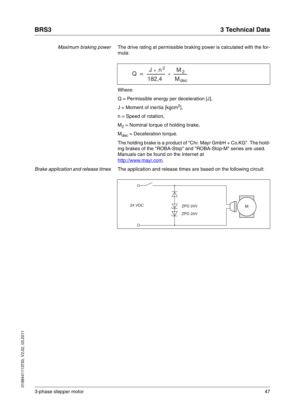*Maximum braking power* The drive rating at permissible braking power is calculated with the formula:

$$
Q = \frac{J * n^2}{182.4} * \frac{M_2}{M_{dec}}
$$

Where:

 $Q =$  Permissible energy per deceleration [J],

 $J =$  Moment of inertia [kgcm<sup>2</sup>],

n = Speed of rotation,

 $M<sub>2</sub>$  = Nominal torque of holding brake,

 $M_{dec}$  = Deceleration torque.

The holding brake is a product of "Chr. Mayr GmbH + Co.KG". The holding brakes of the "ROBA-Stop" and "ROBA-Stop-M" series are used. Manuals can be found on the Internet at http://www.mayr.com.

*Brake application and release times* The application and release times are based on the following circuit:

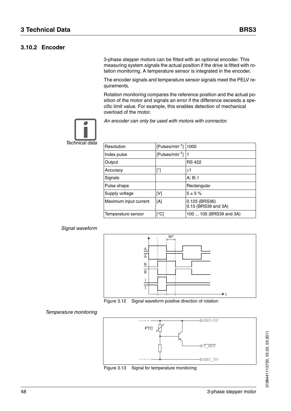#### **3.10.2 Encoder**

3-phase stepper motors can be fitted with an optional encoder. This measuring system signals the actual position if the drive is fitted with rotation monitoring. A temperature sensor is integrated in the encoder.

The encoder signals and temperature sensor signals meet the PELV requirements.

Rotation monitoring compares the reference position and the actual position of the motor and signals an error if the difference exceeds a specific limit value. For example, this enables detection of mechanical overload of the motor.



*An encoder can only be used with motors with connector.*

*Technical data*

| Resolution            | [Pulses/min <sup>-1</sup> ] | 1000                                 |
|-----------------------|-----------------------------|--------------------------------------|
| Index pulse           | [Pulses/min <sup>-1</sup> ] |                                      |
| Output                |                             | <b>RS 422</b>                        |
| Accuracy              | [°]                         | $+1$                                 |
| Signals               |                             | A; B; I                              |
| Pulse shape           |                             | Rectangular                          |
| Supply voltage        | [V]                         | $5 + 5%$                             |
| Maximum input current | [A]                         | 0.125 (BRS36)<br>0.15 (BRS39 and 3A) |
| Temperature sensor    | [°C]                        | 100  105 (BRS39 and 3A)              |

#### *Signal waveform*





#### *Temperature monitoring*



Figure 3.13 Signal for temperature monitoring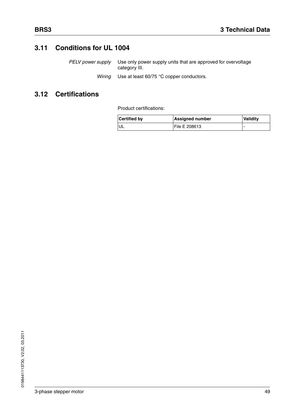## **3.11 Conditions for UL 1004**

*PELV power supply* Use only power supply units that are approved for overvoltage category III.

*Wiring* Use at least 60/75 °C copper conductors.

## **3.12 Certifications**

Product certifications:

| <b>Certified by</b> | <b>Assigned number</b> | <b>Validity</b> |
|---------------------|------------------------|-----------------|
|                     | <b>File E 208613</b>   |                 |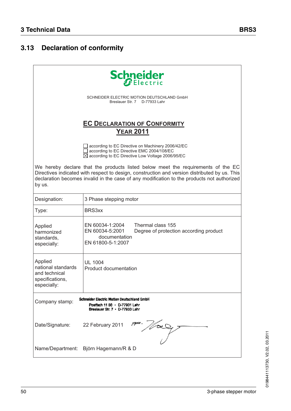## **3.13 Declaration of conformity**

|                                                                                                                                                                                                                                                                                           | <b>Schneider</b>                                                                                                                                               |  |  |  |
|-------------------------------------------------------------------------------------------------------------------------------------------------------------------------------------------------------------------------------------------------------------------------------------------|----------------------------------------------------------------------------------------------------------------------------------------------------------------|--|--|--|
|                                                                                                                                                                                                                                                                                           | SCHNEIDER ELECTRIC MOTION DEUTSCHLAND GmbH<br>Breslauer Str. 7 D-77933 Lahr                                                                                    |  |  |  |
|                                                                                                                                                                                                                                                                                           | <b>EC DECLARATION OF CONFORMITY</b><br><b>YEAR 2011</b>                                                                                                        |  |  |  |
|                                                                                                                                                                                                                                                                                           | according to EC Directive on Machinery 2006/42/EC<br>according to EC Directive EMC 2004/108/EC<br>$\boxtimes$ according to EC Directive Low Voltage 2006/95/EC |  |  |  |
| We hereby declare that the products listed below meet the requirements of the EC<br>Directives indicated with respect to design, construction and version distributed by us. This<br>declaration becomes invalid in the case of any modification to the products not authorized<br>by us. |                                                                                                                                                                |  |  |  |
| Designation:                                                                                                                                                                                                                                                                              | 3 Phase stepping motor                                                                                                                                         |  |  |  |
| Type:                                                                                                                                                                                                                                                                                     | BRS3xx                                                                                                                                                         |  |  |  |
| Applied<br>harmonized<br>standards,<br>especially:                                                                                                                                                                                                                                        | Thermal class 155<br>EN 60034-1:2004<br>EN 60034-5:2001<br>Degree of protection according product<br>documentation<br>EN 61800-5-1:2007                        |  |  |  |
| Applied<br>national standards<br>and technical<br>specifications,<br>especially:                                                                                                                                                                                                          | <b>UL 1004</b><br><b>Product documentation</b>                                                                                                                 |  |  |  |
| Schneider Electric Motion Deutschland GmbH<br>Company stamp:<br>Postfach 11 80 · D-77901 Lahr<br>Breslauer Str. 7 · D-77933 Lahr                                                                                                                                                          |                                                                                                                                                                |  |  |  |
| Date/Signature:                                                                                                                                                                                                                                                                           | 22 February 2011<br>$\frac{1}{\sqrt{2}}$                                                                                                                       |  |  |  |
|                                                                                                                                                                                                                                                                                           | Name/Department: Björn Hagemann/R & D                                                                                                                          |  |  |  |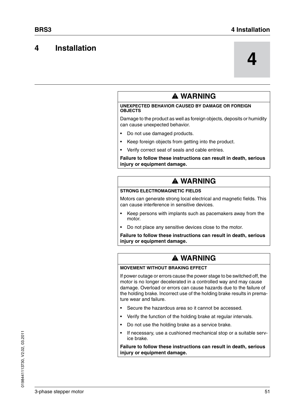## **4 Installation**

**4**

#### **@ WARNING UNEXPECTED BEHAVIOR CAUSED BY DAMAGE OR FOREIGN OBJECTS** Damage to the product as well as foreign objects, deposits or humidity can cause unexpected behavior.

- Do not use damaged products.
- Keep foreign objects from getting into the product.
- Verify correct seat of seals and cable entries.

#### **Failure to follow these instructions can result in death, serious injury or equipment damage.**

## **@ WARNING**

#### **STRONG ELECTROMAGNETIC FIELDS**

Motors can generate strong local electrical and magnetic fields. This can cause interference in sensitive devices.

- Keep persons with implants such as pacemakers away from the motor.
- Do not place any sensitive devices close to the motor.

**Failure to follow these instructions can result in death, serious injury or equipment damage.**

## **@ WARNING**

#### **MOVEMENT WITHOUT BRAKING EFFECT**

If power outage or errors cause the power stage to be switched off, the motor is no longer decelerated in a controlled way and may cause damage. Overload or errors can cause hazards due to the failure of the holding brake. Incorrect use of the holding brake results in premature wear and failure.

- Secure the hazardous area so it cannot be accessed.
- Verify the function of the holding brake at regular intervals.
- Do not use the holding brake as a service brake.
- If necessary, use a cushioned mechanical stop or a suitable service brake.

#### **Failure to follow these instructions can result in death, serious injury or equipment damage.**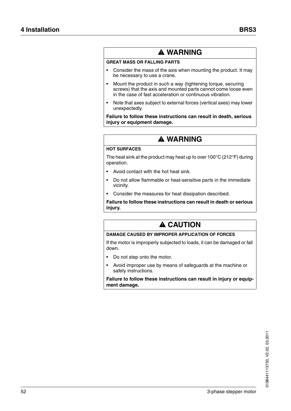## **@ WARNING**

#### **GREAT MASS OR FALLING PARTS**

- Consider the mass of the axis when mounting the product. It may be necessary to use a crane.
- Mount the product in such a way (tightening torque, securing screws) that the axis and mounted parts cannot come loose even in the case of fast acceleration or continuous vibration.
- Note that axes subject to external forces (vertical axes) may lower unexpectedly.

**Failure to follow these instructions can result in death, serious injury or equipment damage.**

## **@ WARNING**

#### **HOT SURFACES**

The heat sink at the product may heat up to over 100°C (212°F) during operation.

- Avoid contact with the hot heat sink.
- Do not allow flammable or heat-sensitive parts in the immediate vicinity.
- Consider the measures for heat dissipation described.

**Failure to follow these instructions can result in death or serious injury.**

## **@ CAUTION**

#### **DAMAGE CAUSED BY IMPROPER APPLICATION OF FORCES**

If the motor is improperly subjected to loads, it can be damaged or fall down.

- Do not step onto the motor.
- Avoid improper use by means of safeguards at the machine or safety instructions.

**Failure to follow these instructions can result in injury or equipment damage.**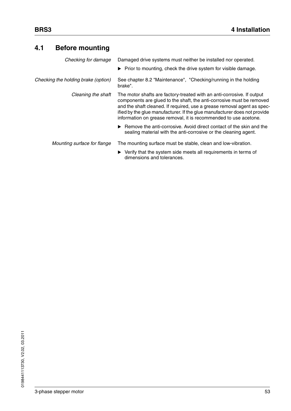## **4.1 Before mounting**

| Checking for damage                 | Damaged drive systems must neither be installed nor operated.                                                                                                                                                                                                                                                                                                               |
|-------------------------------------|-----------------------------------------------------------------------------------------------------------------------------------------------------------------------------------------------------------------------------------------------------------------------------------------------------------------------------------------------------------------------------|
|                                     | $\triangleright$ Prior to mounting, check the drive system for visible damage.                                                                                                                                                                                                                                                                                              |
| Checking the holding brake (option) | See chapter 8.2 "Maintenance", "Checking/running in the holding<br>brake".                                                                                                                                                                                                                                                                                                  |
| Cleaning the shaft                  | The motor shafts are factory-treated with an anti-corrosive. If output<br>components are glued to the shaft, the anti-corrosive must be removed<br>and the shaft cleaned. If required, use a grease removal agent as spec-<br>ified by the glue manufacturer. If the glue manufacturer does not provide<br>information on grease removal, it is recommended to use acetone. |
|                                     | $\triangleright$ Remove the anti-corrosive. Avoid direct contact of the skin and the<br>sealing material with the anti-corrosive or the cleaning agent.                                                                                                                                                                                                                     |
| Mounting surface for flange         | The mounting surface must be stable, clean and low-vibration.                                                                                                                                                                                                                                                                                                               |
|                                     | Verify that the system side meets all requirements in terms of<br>dimensions and tolerances.                                                                                                                                                                                                                                                                                |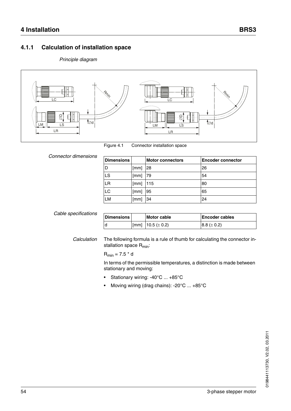### **4.1.1 Calculation of installation space**

#### *Principle diagram*



Figure 4.1 Connector installation space

*Connector dimensions*

| <b>Dimensions</b> |      | <b>Motor connectors</b> | <b>Encoder connector</b> |
|-------------------|------|-------------------------|--------------------------|
| D                 | [mm] | 28                      | 26                       |
| LS                | [mm] | 79                      | 54                       |
| LR                | [mm] | 115                     | 80                       |
| LC                | [mm] | 95                      | 65                       |
| <b>LM</b>         | [mm] | 34                      | 24                       |

| Cable specifications | <b>Dimensions</b> | <b>Motor cable</b>       | <b>Encoder cables</b> |
|----------------------|-------------------|--------------------------|-----------------------|
|                      |                   | [[mm] $10.5 (\pm 0.2)$ ] | $8.8 (\pm 0.2)$       |

*Calculation* The following formula is a rule of thumb for calculating the connector installation space R<sub>min</sub>:

 $R_{min} = 7.5 * d$ 

In terms of the permissible temperatures, a distinction is made between stationary and moving:

- Stationary wiring: -40°C ... +85°C
- Moving wiring (drag chains): -20°C ... +85°C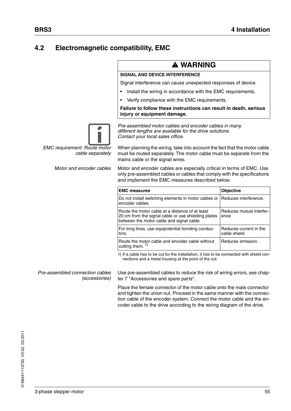## **4.2 Electromagnetic compatibility, EMC**

## **@ WARNING**

#### **SIGNAL AND DEVICE INTERFERENCE**

*Contact your local sales office.*

Signal interference can cause unexpected responses of device.

- Install the wiring in accordance with the EMC requirements.
- Verify compliance with the EMC requirements.

*Pre-assembled motor cables and encoder cables in many different lengths are available for the drive solutions.* 

#### **Failure to follow these instructions can result in death, serious injury or equipment damage.**



*EMC requirement: Route motor cable separately*

When planning the wiring, take into account the fact that the motor cable must be routed separately. The motor cable must be separate from the mains cable or the signal wires.

*Motor and encoder cables* Motor and encoder cables are especially critical in terms of EMC. Use only pre-assembled cables or cables that comply with the specifications and implement the EMC measures described below.

| <b>EMC measures</b>                                                                                                                                 | <b>Objective</b>                        |
|-----------------------------------------------------------------------------------------------------------------------------------------------------|-----------------------------------------|
| Do not install switching elements in motor cables or<br>encoder cables.                                                                             | Reduces interference.                   |
| Route the motor cable at a distance of at least<br>20 cm from the signal cable or use shielding plates<br>between the motor cable and signal cable. | Reduces mutual interfer-<br>ence        |
| For long lines, use equipotential bonding conduc-<br>tors.                                                                                          | Reduces current in the<br>cable shield. |
| Route the motor cable and encoder cable without<br>cutting them. $1)$                                                                               | Reduces emission.                       |

1) If a cable has to be cut for the installation, it has to be connected with shield connections and a metal housing at the point of the cut.

*Pre-assembled connection cables (accessories)* Use pre-assembled cables to reduce the risk of wiring errors, see chapter [7 "Accessories and spare parts"](#page-68-0).

Place the female connector of the motor cable onto the male connector and tighten the union nut. Proceed in the same manner with the connection cable of the encoder system. Connect the motor cable and the encoder cable to the drive according to the wiring diagram of the drive.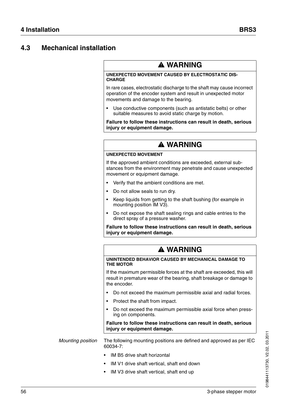## **4.3 Mechanical installation**

## **@ WARNING**

#### **UNEXPECTED MOVEMENT CAUSED BY ELECTROSTATIC DIS-CHARGE**

In rare cases, electrostatic discharge to the shaft may cause incorrect operation of the encoder system and result in unexpected motor movements and damage to the bearing.

Use conductive components (such as antistatic belts) or other suitable measures to avoid static charge by motion.

**Failure to follow these instructions can result in death, serious injury or equipment damage.**

## **@ WARNING**

#### **UNEXPECTED MOVEMENT**

If the approved ambient conditions are exceeded, external substances from the environment may penetrate and cause unexpected movement or equipment damage.

- Verify that the ambient conditions are met.
- Do not allow seals to run dry.
- Keep liquids from getting to the shaft bushing (for example in mounting position IM V3).
- Do not expose the shaft sealing rings and cable entries to the direct spray of a pressure washer.

**Failure to follow these instructions can result in death, serious injury or equipment damage.**

## **@ WARNING**

#### **UNINTENDED BEHAVIOR CAUSED BY MECHANICAL DAMAGE TO THE MOTOR**

If the maximum permissible forces at the shaft are exceeded, this will result in premature wear of the bearing, shaft breakage or damage to the encoder.

- Do not exceed the maximum permissible axial and radial forces.
- Protect the shaft from impact.
- Do not exceed the maximum permissible axial force when pressing on components.

#### **Failure to follow these instructions can result in death, serious injury or equipment damage.**

*Mounting position* The following mounting positions are defined and approved as per IEC 60034-7:

- IM B5 drive shaft horizontal
- IM V1 drive shaft vertical, shaft end down
- IM V3 drive shaft vertical, shaft end up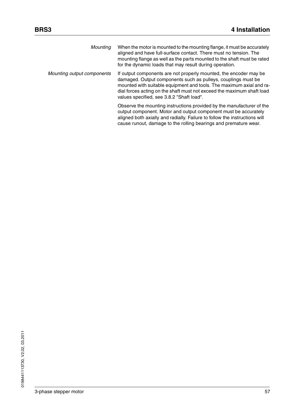| Mounting                   | When the motor is mounted to the mounting flange, it must be accurately<br>aligned and have full-surface contact. There must no tension. The<br>mounting flange as well as the parts mounted to the shaft must be rated<br>for the dynamic loads that may result during operation.                                                |
|----------------------------|-----------------------------------------------------------------------------------------------------------------------------------------------------------------------------------------------------------------------------------------------------------------------------------------------------------------------------------|
| Mounting output components | If output components are not properly mounted, the encoder may be<br>damaged. Output components such as pulleys, couplings must be<br>mounted with suitable equipment and tools. The maximum axial and ra-<br>dial forces acting on the shaft must not exceed the maximum shaft load<br>values specified, see 3.8.2 "Shaft load". |
|                            | Observe the mounting instructions provided by the manufacturer of the<br>output component. Motor and output component must be accurately<br>aligned both axially and radially. Failure to follow the instructions will<br>cause runout, damage to the rolling bearings and premature wear.                                        |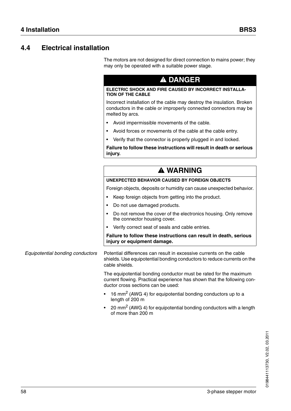## **4.4 Electrical installation**

The motors are not designed for direct connection to mains power; they may only be operated with a suitable power stage.

## **@ DANGER**

#### **ELECTRIC SHOCK AND FIRE CAUSED BY INCORRECT INSTALLA-TION OF THE CABLE**

Incorrect installation of the cable may destroy the insulation. Broken conductors in the cable or improperly connected connectors may be melted by arcs.

- Avoid impermissible movements of the cable.
- Avoid forces or movements of the cable at the cable entry.
- Verify that the connector is properly plugged in and locked.

**Failure to follow these instructions will result in death or serious injury.**

## **@ WARNING**

#### **UNEXPECTED BEHAVIOR CAUSED BY FOREIGN OBJECTS**

Foreign objects, deposits or humidity can cause unexpected behavior.

- Keep foreign objects from getting into the product.
- Do not use damaged products.
- Do not remove the cover of the electronics housing. Only remove the connector housing cover.
- Verify correct seat of seals and cable entries.

#### **Failure to follow these instructions can result in death, serious injury or equipment damage.**

*Equipotential bonding conductors* Potential differences can result in excessive currents on the cable shields. Use equipotential bonding conductors to reduce currents on the cable shields.

> The equipotential bonding conductor must be rated for the maximum current flowing. Practical experience has shown that the following conductor cross sections can be used:

- $16$  mm<sup>2</sup> (AWG 4) for equipotential bonding conductors up to a length of 200 m
- 20 mm<sup>2</sup> (AWG 4) for equipotential bonding conductors with a length of more than 200 m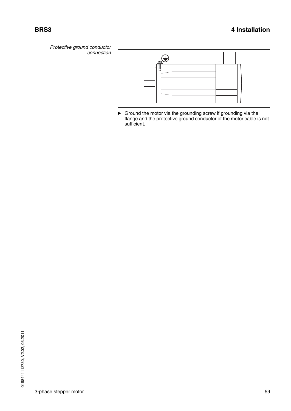*Protective ground conductor connection*



 Ground the motor via the grounding screw if grounding via the flange and the protective ground conductor of the motor cable is not sufficient.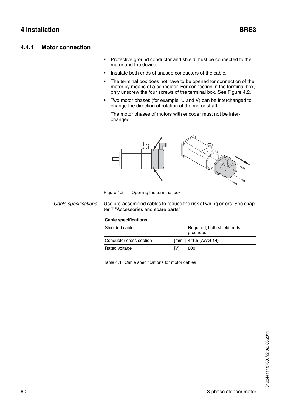#### **4.4.1 Motor connection**

- Protective ground conductor and shield must be connected to the motor and the device.
- Insulate both ends of unused conductors of the cable.
- The terminal box does not have to be opened for connection of the motor by means of a connector. For connection in the terminal box, only unscrew the four screws of the terminal box. See [Figure 4.2](#page-59-0).
- Two motor phases (for example, U and V) can be interchanged to change the direction of rotation of the motor shaft.

The motor phases of motors with encoder must not be interchanged.



<span id="page-59-0"></span>Figure 4.2 Opening the terminal box

*Cable specifications* Use pre-assembled cables to reduce the risk of wiring errors. See chapter [7 "Accessories and spare parts"](#page-68-0).

| <b>Cable specifications</b> |     |                                        |
|-----------------------------|-----|----------------------------------------|
| Shielded cable              |     | Required, both shield ends<br>grounded |
| lConductor cross section    |     | $ [mm^2] 4*1.5$ (AWG 14)               |
| <b>Rated voltage</b>        | [V] | 1800                                   |

Table 4.1 Cable specifications for motor cables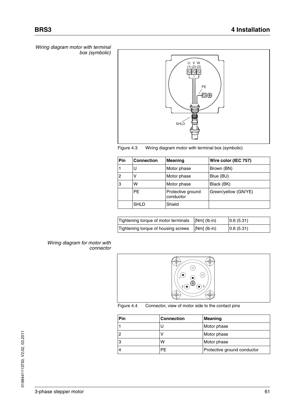*Wiring diagram motor with terminal box (symbolic)*





| Pin            | <b>Connection</b> | <b>Meaning</b>                 | Wire color (IEC 757) |
|----------------|-------------------|--------------------------------|----------------------|
|                | U                 | Motor phase                    | Brown (BN)           |
| $\overline{c}$ |                   | Motor phase                    | Blue (BU)            |
| 3              | w                 | Motor phase                    | Black (BK)           |
|                | <b>PE</b>         | Protective ground<br>conductor | Green/yellow (GN/YE) |
|                | <b>SHLD</b>       | Shield                         |                      |

| Tightening torque of motor terminals [Nm] (lb·in) |                                            | 0.6(5.31) |
|---------------------------------------------------|--------------------------------------------|-----------|
| Tightening torque of housing screws               | $\lfloor \lceil Nm \rceil$ (lb $\cdot$ in) | 0.6(5.31) |

#### *Wiring diagram for motor with connector*



Figure 4.4 Connector, view of motor side to the contact pins

| Pin | <b>Connection</b> | Meaning                     |
|-----|-------------------|-----------------------------|
|     |                   | Motor phase                 |
| 2   |                   | Motor phase                 |
| 3   | w                 | Motor phase                 |
| 4   | РF                | Protective ground conductor |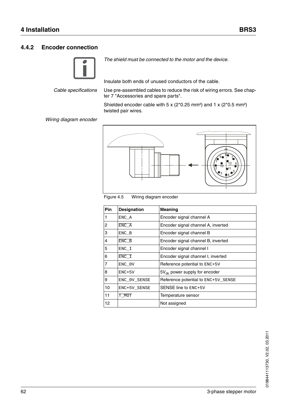#### **4.4.2 Encoder connection**



*The shield must be connected to the motor and the device.*

Insulate both ends of unused conductors of the cable.

*Cable specifications* Use pre-assembled cables to reduce the risk of wiring errors. See chapter [7 "Accessories and spare parts"](#page-68-0).

> Shielded encoder cable with 5 x ( $2*0.25$  mm<sup>2</sup>) and 1 x ( $2*0.5$  mm<sup>2</sup>) twisted pair wires.

#### *Wiring diagram encoder*





| <b>Pin</b> | <b>Designation</b> | <b>Meaning</b>                      |
|------------|--------------------|-------------------------------------|
|            | ENC A              | Encoder signal channel A            |
| 2          | ENC A              | Encoder signal channel A, inverted  |
| 3          | ENC B              | Encoder signal channel B            |
| 4          | ENC B              | Encoder signal channel B, inverted  |
| 5          | $ENC_I$            | Encoder signal channel I            |
| 6          | ENC I              | Encoder signal channel I, inverted  |
| 7          | ENC_0V             | Reference potential to $ENC+5V$     |
| 8          | $ENC+5V$           | $5V_{dc}$ power supply for encoder  |
| 9          | ENC OV SENSE       | Reference potential to ENC+5V SENSE |
| 10         | ENC+5V SENSE       | SENSE line to ENC+5V                |
| 11         | T MOT              | Temperature sensor                  |
| 12         |                    | Not assigned                        |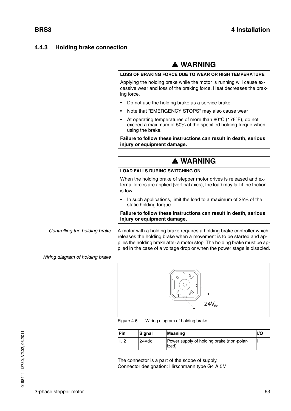#### <span id="page-62-0"></span>**4.4.3 Holding brake connection**

## **@ WARNING**

#### **LOSS OF BRAKING FORCE DUE TO WEAR OR HIGH TEMPERATURE**

Applying the holding brake while the motor is running will cause excessive wear and loss of the braking force. Heat decreases the braking force.

- Do not use the holding brake as a service brake.
- Note that "EMERGENCY STOPS" may also cause wear
- At operating temperatures of more than 80°C (176°F), do not exceed a maximum of 50% of the specified holding torque when using the brake.

**Failure to follow these instructions can result in death, serious injury or equipment damage.**

## **@ WARNING**

#### **LOAD FALLS DURING SWITCHING ON**

When the holding brake of stepper motor drives is released and external forces are applied (vertical axes), the load may fall if the friction is low.

• In such applications, limit the load to a maximum of 25% of the static holding torque.

**Failure to follow these instructions can result in death, serious injury or equipment damage.**

*Controlling the holding brake* A motor with a holding brake requires a holding brake controller which releases the holding brake when a movement is to be started and applies the holding brake after a motor stop. The holding brake must be applied in the case of a voltage drop or when the power stage is disabled.

*Wiring diagram of holding brake*



Figure 4.6 Wiring diagram of holding brake

| Pin | <b>Signal</b> | Meaning                                            | <b>I/O</b> |
|-----|---------------|----------------------------------------------------|------------|
|     | 24Vdc         | Power supply of holding brake (non-polar-<br>ized) |            |

The connector is a part of the scope of supply. Connector designation: Hirschmann type G4 A 5M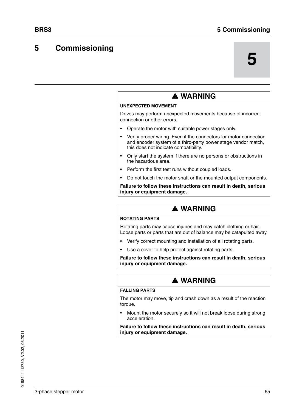## **5 Commissioning**

# **5**

| <b>A WARNING</b>                                                                                                                                                            |
|-----------------------------------------------------------------------------------------------------------------------------------------------------------------------------|
| <b>UNEXPECTED MOVEMENT</b>                                                                                                                                                  |
| Drives may perform unexpected movements because of incorrect<br>connection or other errors.                                                                                 |
| Operate the motor with suitable power stages only.                                                                                                                          |
| Verify proper wiring. Even if the connectors for motor connection<br>and encoder system of a third-party power stage vendor match,<br>this does not indicate compatibility. |
| Only start the system if there are no persons or obstructions in<br>the hazardous area.                                                                                     |
| Perform the first test runs without coupled loads.                                                                                                                          |
| Do not touch the motor shaft or the mounted output components.                                                                                                              |
| Failure to follow these instructions can result in death, serious<br>injury or equipment damage.                                                                            |
|                                                                                                                                                                             |
| <b>A WARNING</b>                                                                                                                                                            |
| <b>ROTATING PARTS</b>                                                                                                                                                       |
| Rotating parts may cause injuries and may catch clothing or hair.<br>Loose parts or parts that are out of balance may be catapulted away.                                   |
| Verify correct mounting and installation of all rotating parts.                                                                                                             |
| Use a cover to help protect against rotating parts.                                                                                                                         |
| Failure to follow these instructions can result in death, serious<br>injury or equipment damage.                                                                            |

#### **FALLING PARTS**

The motor may move, tip and crash down as a result of the reaction torque.

• Mount the motor securely so it will not break loose during strong acceleration.

**Failure to follow these instructions can result in death, serious injury or equipment damage.**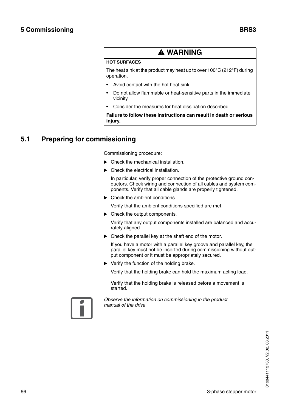## **@ WARNING**

#### **HOT SURFACES**

The heat sink at the product may heat up to over 100°C (212°F) during operation.

- Avoid contact with the hot heat sink.
- Do not allow flammable or heat-sensitive parts in the immediate vicinity.
- Consider the measures for heat dissipation described.

**Failure to follow these instructions can result in death or serious injury.**

## **5.1 Preparing for commissioning**

Commissioning procedure:

- ▶ Check the mechanical installation.
- Check the electrical installation.

In particular, verify proper connection of the protective ground conductors. Check wiring and connection of all cables and system components. Verify that all cable glands are properly tightened.

▶ Check the ambient conditions.

Verify that the ambient conditions specified are met.

▶ Check the output components.

Verify that any output components installed are balanced and accurately aligned.

▶ Check the parallel key at the shaft end of the motor.

If you have a motor with a parallel key groove and parallel key, the parallel key must not be inserted during commissioning without output component or it must be appropriately secured.

▶ Verify the function of the holding brake.

Verify that the holding brake can hold the maximum acting load.

Verify that the holding brake is released before a movement is started.



*Observe the information on commissioning in the product manual of the drive.*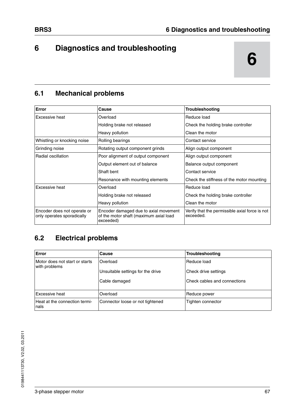## **6 6 Diagnostics and troubleshooting**

## **6.1 Mechanical problems**

| Error                                                     | Cause                                                                                        | Troubleshooting                                             |
|-----------------------------------------------------------|----------------------------------------------------------------------------------------------|-------------------------------------------------------------|
| <b>Excessive heat</b>                                     | Overload                                                                                     | Reduce load                                                 |
|                                                           | Holding brake not released                                                                   | Check the holding brake controller                          |
|                                                           | Heavy pollution                                                                              | Clean the motor                                             |
| Whistling or knocking noise                               | Rolling bearings                                                                             | Contact service                                             |
| Grinding noise                                            | Rotating output component grinds                                                             | Align output component                                      |
| Radial oscillation                                        | Poor alignment of output component                                                           | Align output component                                      |
|                                                           | Output element out of balance                                                                | Balance output component                                    |
|                                                           | Shaft bent                                                                                   | Contact service                                             |
|                                                           | Resonance with mounting elements                                                             | Check the stiffness of the motor mounting                   |
| <b>Excessive heat</b>                                     | Overload                                                                                     | Reduce load                                                 |
|                                                           | Holding brake not released                                                                   | Check the holding brake controller                          |
|                                                           | Heavy pollution                                                                              | Clean the motor                                             |
| Encoder does not operate or<br>only operates sporadically | Encoder damaged due to axial movement<br>of the motor shaft (maximum axial load<br>exceeded) | Verify that the permissible axial force is not<br>exceeded. |

## **6.2 Electrical problems**

| Error                                           | Cause                             | <b>Troubleshooting</b>       |
|-------------------------------------------------|-----------------------------------|------------------------------|
| Motor does not start or starts<br>with problems | Overload                          | Reduce load                  |
|                                                 | Unsuitable settings for the drive | Check drive settings         |
|                                                 | Cable damaged                     | Check cables and connections |
| Excessive heat                                  | Overload                          | Reduce power                 |
| Heat at the connection termi-<br>nals           | Connector loose or not tightened  | Tighten connector            |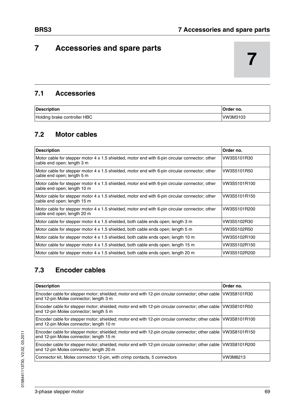## <span id="page-68-0"></span>**7 Accessories and spare parts**

## **7.1 Accessories**

| <b>Description</b>           | Order no. |
|------------------------------|-----------|
| Holding brake controller HBC | VW3M3103  |

## **7.2 Motor cables**

| <b>Description</b>                                                                                                            | Order no.    |
|-------------------------------------------------------------------------------------------------------------------------------|--------------|
| Motor cable for stepper motor 4 x 1.5 shielded, motor end with 6-pin circular connector; other<br>cable end open; length 3 m  | VW3S5101R30  |
| Motor cable for stepper motor 4 x 1.5 shielded, motor end with 6-pin circular connector; other<br>cable end open; length 5 m  | VW3S5101R50  |
| Motor cable for stepper motor 4 x 1.5 shielded, motor end with 6-pin circular connector; other<br>cable end open; length 10 m | VW3S5101R100 |
| Motor cable for stepper motor 4 x 1.5 shielded, motor end with 6-pin circular connector; other<br>cable end open; length 15 m | VW3S5101R150 |
| Motor cable for stepper motor 4 x 1.5 shielded, motor end with 6-pin circular connector; other<br>cable end open; length 20 m | VW3S5101R200 |
| Motor cable for stepper motor 4 x 1.5 shielded, both cable ends open; length 3 m                                              | VW3S5102R30  |
| Motor cable for stepper motor 4 x 1.5 shielded, both cable ends open; length 5 m                                              | VW3S5102R50  |
| Motor cable for stepper motor 4 x 1.5 shielded, both cable ends open; length 10 m                                             | VW3S5102R100 |
| Motor cable for stepper motor 4 x 1.5 shielded, both cable ends open; length 15 m                                             | VW3S5102R150 |
| Motor cable for stepper motor 4 x 1.5 shielded, both cable ends open; length 20 m                                             | VW3S5102R200 |

## **7.3 Encoder cables**

| <b>Description</b>                                                                                                                                        | Order no. |
|-----------------------------------------------------------------------------------------------------------------------------------------------------------|-----------|
| Encoder cable for stepper motor; shielded; motor end with 12-pin circular connector; other cable VW3S8101R30<br>end 12-pin Molex connector; length 3 m    |           |
| Encoder cable for stepper motor; shielded; motor end with 12-pin circular connector; other cable   VW3S8101R50<br>end 12-pin Molex connector; length 5 m  |           |
| Encoder cable for stepper motor; shielded; motor end with 12-pin circular connector; other cable  VW3S8101R100<br>end 12-pin Molex connector; length 10 m |           |
| Encoder cable for stepper motor; shielded; motor end with 12-pin circular connector; other cable VW3S8101R150<br>end 12-pin Molex connector; length 15 m  |           |
| Encoder cable for stepper motor; shielded; motor end with 12-pin circular connector; other cable VW3S8101R200<br>end 12-pin Molex connector; length 20 m  |           |
| Connector kit, Molex connector 12-pin, with crimp contacts, 5 connectors                                                                                  | VW3M8213  |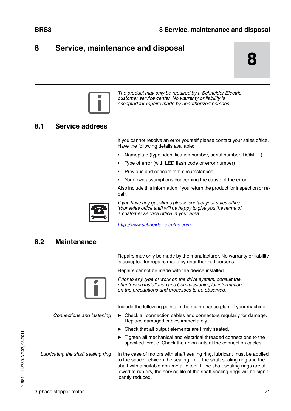## **8 Service, maintenance and disposal**

**8**



*The product may only be repaired by a Schneider Electric customer service center. No warranty or liability is accepted for repairs made by unauthorized persons.*

## **8.1 Service address**

If you cannot resolve an error yourself please contact your sales office. Have the following details available:

- Nameplate (type, identification number, serial number, DOM, ...)
- Type of error (with LED flash code or error number)
- Previous and concomitant circumstances
- Your own assumptions concerning the cause of the error

Also include this information if you return the product for inspection or repair.



*If you have any questions please contact your sales office. Your sales office staff will be happy to give you the name of a customer service office in your area.*

*http://www.schneider-electric.com*

## <span id="page-70-0"></span>**8.2 Maintenance**

Repairs may only be made by the manufacturer. No warranty or liability is accepted for repairs made by unauthorized persons.

Repairs cannot be made with the device installed.



*Prior to any type of work on the drive system, consult the chapters on Installation and Commissioning for information on the precautions and processes to be observed.*

Include the following points in the maintenance plan of your machine.

- *Connections and fastening*  $\blacktriangleright$  Check all connection cables and connectors regularly for damage. Replace damaged cables immediately.
	- Check that all output elements are firmly seated.
	- $\triangleright$  Tighten all mechanical and electrical threaded connections to the specified torque. Check the union nuts at the connection cables.

*Lubricating the shaft sealing ring* In the case of motors with shaft sealing ring, lubricant must be applied to the space between the sealing lip of the shaft sealing ring and the shaft with a suitable non-metallic tool. If the shaft sealing rings are allowed to run dry, the service life of the shaft sealing rings will be significantly reduced.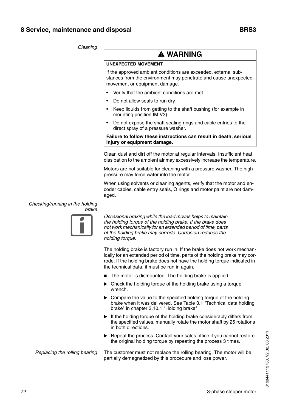#### *Cleaning*

## **@ WARNING**

#### **UNEXPECTED MOVEMENT**

If the approved ambient conditions are exceeded, external substances from the environment may penetrate and cause unexpected movement or equipment damage.

- Verify that the ambient conditions are met.
- Do not allow seals to run dry.
- Keep liquids from getting to the shaft bushing (for example in mounting position IM V3).
- Do not expose the shaft sealing rings and cable entries to the direct spray of a pressure washer.

**Failure to follow these instructions can result in death, serious injury or equipment damage.**

Clean dust and dirt off the motor at regular intervals. Insufficient heat dissipation to the ambient air may excessively increase the temperature.

Motors are not suitable for cleaning with a pressure washer. The high pressure may force water into the motor.

When using solvents or cleaning agents, verify that the motor and encoder cables, cable entry seals, O rings and motor paint are not damaged.

#### <span id="page-71-0"></span>*Checking/running in the holding*



*Occasional braking while the load moves helps to maintain the holding torque of the holding brake. If the brake does not work mechanically for an extended period of time, parts of the holding brake may corrode. Corrosion reduces the holding torque.*

The holding brake is factory run in. If the brake does not work mechanically for an extended period of time, parts of the holding brake may corrode. If the holding brake does not have the holding torque indicated in the technical data, it must be run in again.

- The motor is dismounted. The holding brake is applied.
- ▶ Check the holding torque of the holding brake using a torque wrench.
- ▶ Compare the value to the specified holding torque of the holding brake when it was delivered. See [Table 3.1 "Technical data holding](#page-45-0)  [brake"](#page-45-0) in chapter [3.10.1 "Holding brake"](#page-45-1)
- If the holding torque of the holding brake considerably differs from the specified values, manually rotate the motor shaft by 25 rotations in both directions.
- ▶ Repeat the process. Contact your sales office if you cannot restore the original holding torque by repeating the process 3 times.

*Replacing the rolling bearing* The customer must not replace the rolling bearing. The motor will be partially demagnetized by this procedure and lose power.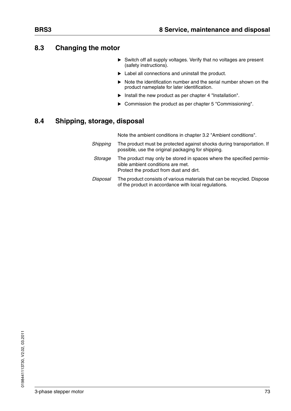#### <span id="page-72-0"></span>**8.3 Changing the motor**

- $\triangleright$  Switch off all supply voltages. Verify that no voltages are present (safety instructions).
- ▶ Label all connections and uninstall the product.
- Note the identification number and the serial number shown on the product nameplate for later identification.
- $\blacktriangleright$  Install the new product as per chapter [4 "Installation".](#page-50-0)
- Commission the product as per chapter [5 "Commissioning"](#page-64-0).

#### <span id="page-72-1"></span>**8.4 Shipping, storage, disposal**

Note the ambient conditions in chapter [3.2 "Ambient conditions"](#page-21-0).

- *Shipping* The product must be protected against shocks during transportation. If possible, use the original packaging for shipping.
- *Storage* The product may only be stored in spaces where the specified permissible ambient conditions are met. Protect the product from dust and dirt.
- *Disposal* The product consists of various materials that can be recycled. Dispose of the product in accordance with local regulations.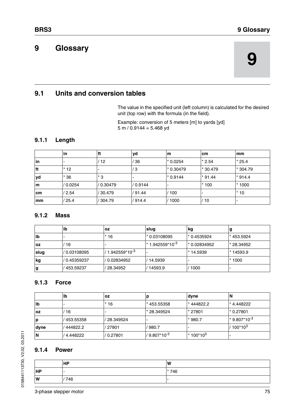# <span id="page-74-0"></span>**9 9 Glossary**

# <span id="page-74-1"></span>**9.1 Units and conversion tables**

The value in the specified unit (left column) is calculated for the desired unit (top row) with the formula (in the field).

Example: conversion of 5 meters [m] to yards [yd] 5 m /  $0.9144 = 5.468$  yd

#### **9.1.1 Length**

|     | lin      | l ft              | yd       | m          | <b>cm</b> | <b>Imm</b> |
|-----|----------|-------------------|----------|------------|-----------|------------|
| in  | ٠        | $12 \overline{ }$ | 36'      | l* 0.0254  | $*2.54$   | $*25.4$    |
| ft  | $*12$    | ۰                 | ΄3       | l* 0.30479 | * 30.479  | l* 304.79  |
| yd  | $*36$    | * 3               |          | $*0.9144$  | $*91.44$  | $*914.4$   |
| m   | / 0.0254 | / 0.30479         | / 0.9144 |            | $*100$    | $*1000$    |
| cm  | /2.54    | / 30.479          | '91.44   | 100        |           | $^*$ 10    |
| lmm | /25.4    | 304.79            | '914.4   | 1000       | 10 /      |            |

#### **9.1.2 Mass**

|           | llb           | l OZ               | slug                         | <b>kg</b>           | g          |
|-----------|---------------|--------------------|------------------------------|---------------------|------------|
| lb        |               | * 16               | l* 0.03108095                | $\approx 0.4535924$ | *453.5924  |
| <b>OZ</b> | 16            |                    | 1* 1.942559*10 <sup>-3</sup> | 1* 0.02834952       | * 28.34952 |
| slug      | / 0.03108095  | $1.942559*10^{-3}$ |                              | * 14.5939           | * 14593.9  |
| kg        | l/ 0.45359237 | 0.02834952         | 14.5939                      |                     | $*1000$    |
| g         | / 453.59237   | 28.34952           | 14593.9                      | 1000                |            |

#### **9.1.3 Force**

|      | lb        | loz       |                          | <b>dyne</b> | N                 |
|------|-----------|-----------|--------------------------|-------------|-------------------|
| llb  |           | 16        | *453.55358               | * 444822.2  | * 4.448222        |
| loz  | 16        |           | l* 28.349524             | * 27801     | l* 0.27801        |
| ۱p   | 453.55358 | 28.349524 |                          | $*980.7$    | $1*9.807*10^{-3}$ |
| dyne | 444822.2  | 27801     | 980.7                    |             | $100*10^3$        |
| ΙN   | 4.448222  | 0.27801   | / 9.807*10 <sup>-3</sup> | $*100*10^3$ |                   |

#### **9.1.4 Power**

|           | <b>HP</b> | <b>W</b> |
|-----------|-----------|----------|
| <b>HP</b> | . .       | $*746$   |
| W         | 746       |          |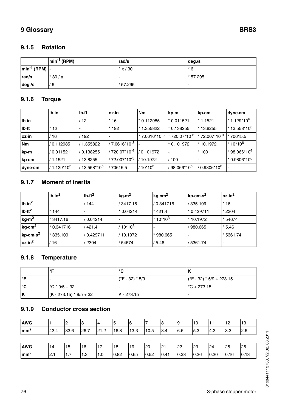#### **9.1.5 Rotation**

|                                                               | $\left  \text{min}^{\text{-1}} \right $ (RPM) | rad/s     | deg/s          |  |  |
|---------------------------------------------------------------|-----------------------------------------------|-----------|----------------|--|--|
| $\left  \text{min}^{-1} \right $ (RPM) $\left  \cdot \right $ |                                               | $*\pi/30$ | $\mathsf{r}$ 6 |  |  |
| rad/s                                                         | $*30/\pi$                                     |           | * 57.295       |  |  |
| deg./s                                                        | 6 /                                           | /57.295   |                |  |  |

# **9.1.6 Torque**

|               | $Ib\cdot in$          | lb-ft                  | loz∙in                    | <b>Nm</b>          | kp⋅m                        | kp⋅cm                       | dyne∙cm                               |
|---------------|-----------------------|------------------------|---------------------------|--------------------|-----------------------------|-----------------------------|---------------------------------------|
| $Ib \cdot in$ |                       | 12                     | $*16$                     | $*0.112985$        | 1 0.011521                  | $*1.1521$                   | $* 1.129 * 10^6$                      |
| lb ft         | $*12$                 |                        | $*192$                    | $*1.355822$        | l* 0.138255                 | * 13.8255                   | 1* 13.558*10 <sup>6</sup>             |
| oz.in         | 16                    | 192                    |                           | $* 7.0616*10^{-3}$ | $\pm 720.07 \times 10^{-6}$ | $*$ 72.007*10 <sup>-3</sup> | 70615.5<br>  ★                        |
| <b>Nm</b>     | l/ 0.112985           | 1.355822               | $/7.0616*10^{-3}$         |                    | $*0.101972$                 | $*10.1972$                  | <sup>1</sup> 10*10 <sup>6</sup> *     |
| ∣kp⋅m         | l/ 0.011521           | / 0.138255             | / 720.07*10 <sup>-6</sup> | 0.101972           |                             | $*100$                      | * 98.066*10 <sup>6</sup>              |
| ∣kp⋅cm        | / 1.1521              | 13.8255                | / 72.007*10 <sup>-3</sup> | 10.1972            | 100                         |                             | <sup>1</sup> * 0.9806*10 <sup>6</sup> |
| dyne∙cm       | 1.129*10 <sup>6</sup> | 13.558*10 <sup>6</sup> | 70615.5                   | $10*10^6$          | / 98.066*10 <sup>6</sup>    | / 0.9806*10 <sup>6</sup>    |                                       |

#### **9.1.7 Moment of inertia**

|                      | $Ib\cdot in^2$ | $Ib-ft^2$                | kg·m <sup>2</sup> | kgcm <sup>2</sup>  | kp⋅cm⋅s <sup>2</sup> | $ oz.in^2$     |
|----------------------|----------------|--------------------------|-------------------|--------------------|----------------------|----------------|
| $Ib\cdot in^2$       |                | 144                      | 3417.16           | / 0.341716         | 335.109              | $*16$          |
| Ib·ft <sup>2</sup>   | $*144$         | $\overline{\phantom{0}}$ | $*0.04214$        | $*421.4$           | $*$ 0.429711         | $*2304$        |
| kg·m <sup>2</sup>    | * 3417.16      | / 0.04214                |                   | $\pm 10^{*}10^{3}$ | * 10.1972            | $*54674$       |
| kg.cm <sup>2</sup>   | $*$ 0.341716   | 421.4                    | $/10*10^3$        |                    | 980.665              | $*5.46$        |
| kp⋅cm⋅s <sup>2</sup> | $*335.109$     | / 0.429711               | / 10.1972         | * 980.665          |                      | <u>5361.74</u> |
| oz.in <sup>2</sup>   | 16             | 2304                     | 54674             | 5.46               | 5361.74              |                |

#### **9.1.8 Temperature**

|     | ∘⊏                                                | $\sim$<br>ັ       |                            |  |  |
|-----|---------------------------------------------------|-------------------|----------------------------|--|--|
| ∘⊏  |                                                   | $(CF - 32) * 5/9$ | $(CF - 32) * 5/9 + 273.15$ |  |  |
| ∣°C | $\binom{6}{1}$ $\binom{6}{1}$ $\binom{9}{5}$ + 32 |                   | $\binom{6}{1}$ + 273.15    |  |  |
| ΙK  | $(K - 273.15) * 9/5 + 32$                         | $IK - 273.15$     |                            |  |  |

#### **9.1.9 Conductor cross section**

| <b>AWG</b>              |      | 2    | 13   | 4    | 5    | <b>6</b> |      | 8    | <b>9</b> | 10   | 11   | 12        | 13   |
|-------------------------|------|------|------|------|------|----------|------|------|----------|------|------|-----------|------|
| - 2<br>$\mathsf{Imm}^2$ | 42.4 | 33.6 | 26.7 | 21.2 | 16.8 | 13.3     | 10.5 | 8.4  | 6.6      | 5.3  | 4.2  | 3.3       | 2.6  |
|                         |      |      |      |      |      |          |      |      |          |      |      |           |      |
| <b>AWG</b>              | 14   | 15   | 16   | 17   | 18   | 19       | 20   | 21   | 22       | 23   | 24   | <b>25</b> | 26   |
| - 2<br>$\mathsf{Imm}^2$ | 12.1 | 1.7  | 1.3  | 1.0  | 0.82 | 0.65     | 0.52 | 0.41 | 0.33     | 0.26 | 0.20 | 0.16      | 0.13 |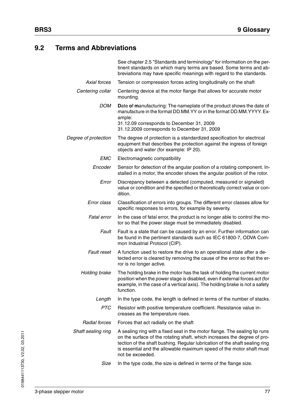### <span id="page-76-0"></span>**9.2 Terms and Abbreviations**

See chapter [2.5 "Standards and terminology"](#page-18-0) for information on the pertinent standards on which many terms are based. Some terms and abbreviations may have specific meanings with regard to the standards. *Axial forces* Tension or compression forces acting longitudinally on the shaft *Centering collar* Centering device at the motor flange that allows for accurate motor mounting. *DOM* **D**ate **o**f **m**anufacturing: The nameplate of the product shows the date of manufacture in the format DD.MM.YY or in the format DD.MM.YYYY. Example: 31.12.09 corresponds to December 31, 2009 31.12.2009 corresponds to December 31, 2009 *Degree of protection* The degree of protection is a standardized specification for electrical equipment that describes the protection against the ingress of foreign objects and water (for example: IP 20). *EMC* Electromagnetic compatibility *Encoder* Sensor for detection of the angular position of a rotating component. Installed in a motor, the encoder shows the angular position of the rotor. *Error* Discrepancy between a detected (computed, measured or signaled) value or condition and the specified or theoretically correct value or condition. *Error class* Classification of errors into groups. The different error classes allow for specific responses to errors, for example by severity. *Fatal error* In the case of fatal error, the product is no longer able to control the motor so that the power stage must be immediately disabled. *Fault* Fault is a state that can be caused by an error. Further information can be found in the pertinent standards such as IEC 61800-7, ODVA Common Industrial Protocol (CIP). *Fault reset* A function used to restore the drive to an operational state after a detected error is cleared by removing the cause of the error so that the error is no longer active. *Holding brake* The holding brake in the motor has the task of holding the current motor position when the power stage is disabled, even if external forces act (for example, in the case of a vertical axis). The holding brake is not a safety function. Length In the type code, the length is defined in terms of the number of stacks. *PTC* Resistor with positive temperature coefficient. Resistance value increases as the temperature rises. *Radial forces* Forces that act radially on the shaft *Shaft sealing ring* A sealing ring with a fixed seat in the motor flange. The sealing lip runs on the surface of the rotating shaft, which increases the degree of protection of the shaft bushing. Regular lubrication of the shaft sealing ring is essential and the allowable maximum speed of the motor shaft must not be exceeded.

*Size* In the type code, the size is defined in terms of the flange size.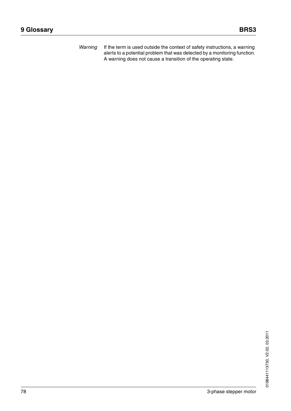*Warning* If the term is used outside the context of safety instructions, a warning alerts to a potential problem that was detected by a monitoring function. A warning does not cause a transition of the operating state.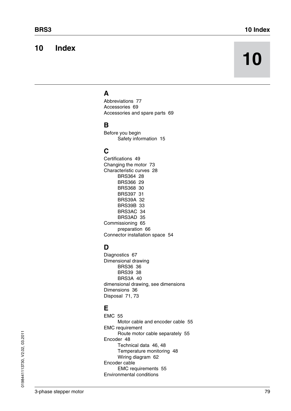# **10 Index**

# **10**

# **A**

[Abbreviations 77](#page-76-0) [Accessories 69](#page-68-0) [Accessories and spare parts 69](#page-68-1)

#### **B**

Before you begin [Safety information 15](#page-14-0)

# **C**

[Certifications 49](#page-48-0) [Changing the motor 73](#page-72-0) [Characteristic curves 28](#page-27-0) [BRS364 28](#page-27-1) [BRS366 29](#page-28-0) [BRS368 30](#page-29-0) [BRS397 31](#page-30-0) [BRS39A 32](#page-31-0) [BRS39B 33](#page-32-0) [BRS3AC 34](#page-33-0) [BRS3AD 35](#page-34-0) [Commissioning 65](#page-64-0) [preparation 66](#page-65-0) [Connector installation space 54](#page-53-0)

# **D**

[Diagnostics 67](#page-66-0) Dimensional drawing [BRS36 36](#page-35-0) [BRS39 38](#page-37-0) [BRS3A 40](#page-39-0) [dimensional drawing, see dimensions](#page-35-1) [Dimensions 36](#page-35-1) [Disposal 71,](#page-70-0) [73](#page-72-1)

# **E**

[EMC 55](#page-54-0) [Motor cable and encoder cable 55](#page-54-1) EMC requirement [Route motor cable separately 55](#page-54-2) [Encoder 48](#page-47-0) [Technical data 46,](#page-45-0) [48](#page-47-1) [Temperature monitoring 48](#page-47-2) [Wiring diagram 62](#page-61-0) Encoder cable [EMC requirements 55](#page-54-1) Environmental conditions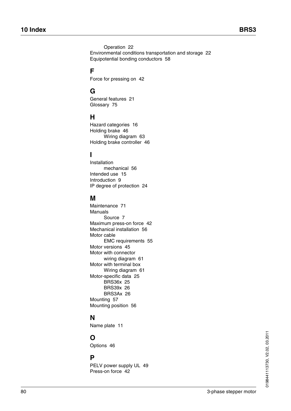[Operation 22](#page-21-1) [Environmental conditions transportation and storage 22](#page-21-2) [Equipotential bonding conductors 58](#page-57-0)

# **F**

[Force for pressing on 42](#page-41-0)

# **G**

[General features 21](#page-20-0) [Glossary 75](#page-74-0)

#### **H**

[Hazard categories 16](#page-15-0) [Holding brake 46](#page-45-1) [Wiring diagram 63](#page-62-0) [Holding brake controller 46](#page-45-2)

# **I**

Installation [mechanical 56](#page-55-0) [Intended use 15](#page-14-1) [Introduction 9](#page-8-0) [IP degree of protection 24](#page-23-0)

#### **M**

[Maintenance 71](#page-70-0) Manuals [Source 7](#page-6-0) [Maximum press-on force 42](#page-41-1) [Mechanical installation 56](#page-55-0) Motor cable [EMC requirements 55](#page-54-1) [Motor versions 45](#page-44-0) Motor with connector [wiring diagram 61](#page-60-0) Motor with terminal box [Wiring diagram 61](#page-60-1) [Motor-specific data 25](#page-24-0) [BRS36x 25](#page-24-1) [BRS39x 26](#page-25-0) [BRS3Ax 26](#page-25-1) [Mounting 57](#page-56-0) [Mounting position 56](#page-55-1)

# **N**

[Name plate 11](#page-10-0)

# **O**

[Options 46](#page-45-3)

#### **P**

[PELV power supply UL 49](#page-48-1) [Press-on force 42](#page-41-1)